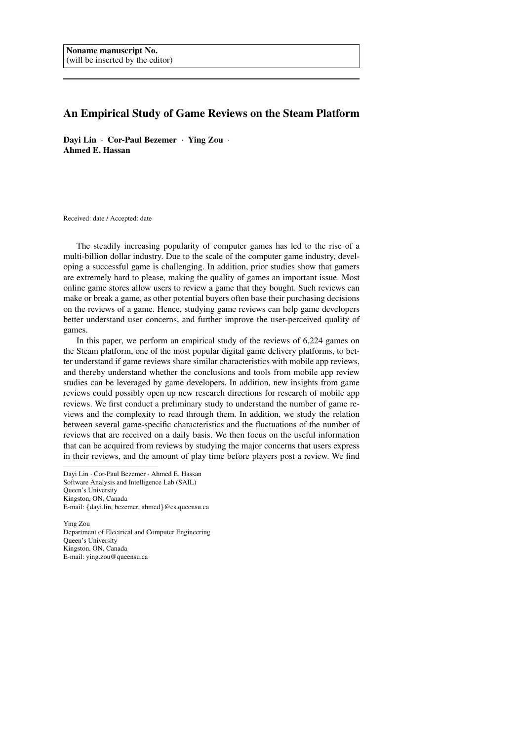# An Empirical Study of Game Reviews on the Steam Platform

Dayi Lin · Cor-Paul Bezemer · Ying Zou · Ahmed E. Hassan

Received: date / Accepted: date

The steadily increasing popularity of computer games has led to the rise of a multi-billion dollar industry. Due to the scale of the computer game industry, developing a successful game is challenging. In addition, prior studies show that gamers are extremely hard to please, making the quality of games an important issue. Most online game stores allow users to review a game that they bought. Such reviews can make or break a game, as other potential buyers often base their purchasing decisions on the reviews of a game. Hence, studying game reviews can help game developers better understand user concerns, and further improve the user-perceived quality of games.

In this paper, we perform an empirical study of the reviews of 6,224 games on the Steam platform, one of the most popular digital game delivery platforms, to better understand if game reviews share similar characteristics with mobile app reviews, and thereby understand whether the conclusions and tools from mobile app review studies can be leveraged by game developers. In addition, new insights from game reviews could possibly open up new research directions for research of mobile app reviews. We first conduct a preliminary study to understand the number of game reviews and the complexity to read through them. In addition, we study the relation between several game-specific characteristics and the fluctuations of the number of reviews that are received on a daily basis. We then focus on the useful information that can be acquired from reviews by studying the major concerns that users express in their reviews, and the amount of play time before players post a review. We find

Dayi Lin · Cor-Paul Bezemer · Ahmed E. Hassan Software Analysis and Intelligence Lab (SAIL) Queen's University Kingston, ON, Canada E-mail: {dayi.lin, bezemer, ahmed}@cs.queensu.ca

Ying Zou Department of Electrical and Computer Engineering Queen's University Kingston, ON, Canada E-mail: ying.zou@queensu.ca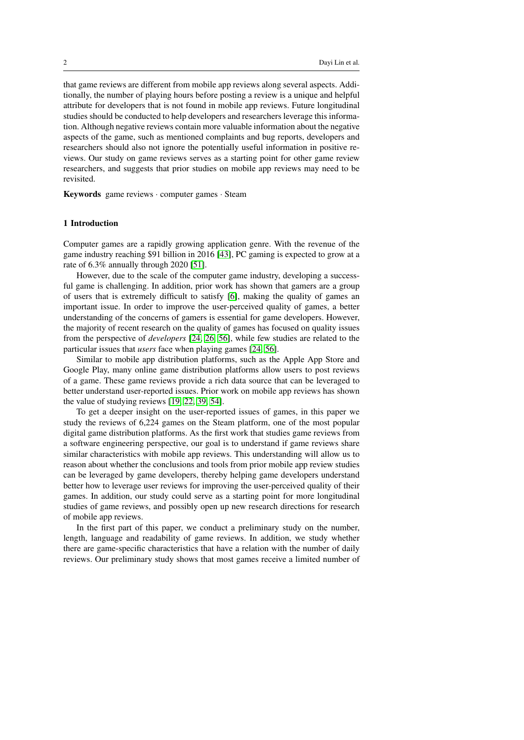that game reviews are different from mobile app reviews along several aspects. Additionally, the number of playing hours before posting a review is a unique and helpful attribute for developers that is not found in mobile app reviews. Future longitudinal studies should be conducted to help developers and researchers leverage this information. Although negative reviews contain more valuable information about the negative aspects of the game, such as mentioned complaints and bug reports, developers and researchers should also not ignore the potentially useful information in positive reviews. Our study on game reviews serves as a starting point for other game review researchers, and suggests that prior studies on mobile app reviews may need to be revisited.

Keywords game reviews · computer games · Steam

#### 1 Introduction

Computer games are a rapidly growing application genre. With the revenue of the game industry reaching \$91 billion in 2016 [\[43\]](#page-36-0), PC gaming is expected to grow at a rate of 6.3% annually through 2020 [\[51\]](#page-36-1).

However, due to the scale of the computer game industry, developing a successful game is challenging. In addition, prior work has shown that gamers are a group of users that is extremely difficult to satisfy [\[6\]](#page-33-0), making the quality of games an important issue. In order to improve the user-perceived quality of games, a better understanding of the concerns of gamers is essential for game developers. However, the majority of recent research on the quality of games has focused on quality issues from the perspective of *developers* [\[24,](#page-34-0) [26,](#page-35-0) [56\]](#page-37-0), while few studies are related to the particular issues that *users* face when playing games [\[24,](#page-34-0) [56\]](#page-37-0).

Similar to mobile app distribution platforms, such as the Apple App Store and Google Play, many online game distribution platforms allow users to post reviews of a game. These game reviews provide a rich data source that can be leveraged to better understand user-reported issues. Prior work on mobile app reviews has shown the value of studying reviews [\[19,](#page-34-1) [22,](#page-34-2) [39,](#page-35-1) [54\]](#page-36-2).

To get a deeper insight on the user-reported issues of games, in this paper we study the reviews of 6,224 games on the Steam platform, one of the most popular digital game distribution platforms. As the first work that studies game reviews from a software engineering perspective, our goal is to understand if game reviews share similar characteristics with mobile app reviews. This understanding will allow us to reason about whether the conclusions and tools from prior mobile app review studies can be leveraged by game developers, thereby helping game developers understand better how to leverage user reviews for improving the user-perceived quality of their games. In addition, our study could serve as a starting point for more longitudinal studies of game reviews, and possibly open up new research directions for research of mobile app reviews.

In the first part of this paper, we conduct a preliminary study on the number, length, language and readability of game reviews. In addition, we study whether there are game-specific characteristics that have a relation with the number of daily reviews. Our preliminary study shows that most games receive a limited number of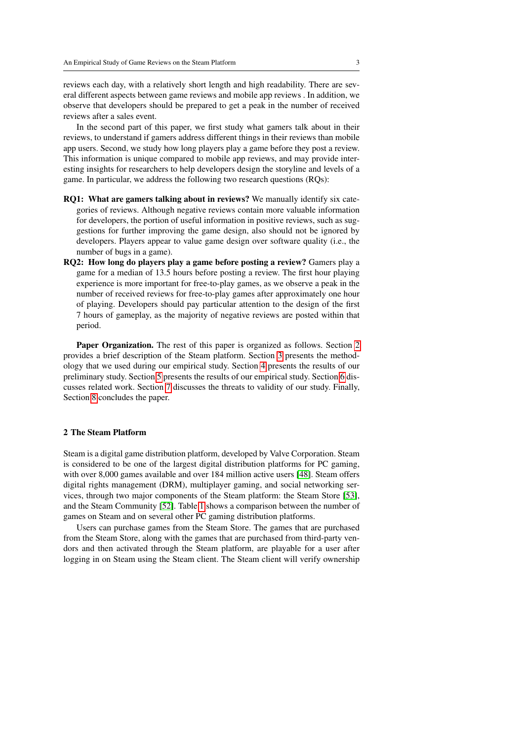reviews each day, with a relatively short length and high readability. There are several different aspects between game reviews and mobile app reviews . In addition, we observe that developers should be prepared to get a peak in the number of received reviews after a sales event.

In the second part of this paper, we first study what gamers talk about in their reviews, to understand if gamers address different things in their reviews than mobile app users. Second, we study how long players play a game before they post a review. This information is unique compared to mobile app reviews, and may provide interesting insights for researchers to help developers design the storyline and levels of a game. In particular, we address the following two research questions (RQs):

- RQ1: What are gamers talking about in reviews? We manually identify six categories of reviews. Although negative reviews contain more valuable information for developers, the portion of useful information in positive reviews, such as suggestions for further improving the game design, also should not be ignored by developers. Players appear to value game design over software quality (i.e., the number of bugs in a game).
- RQ2: How long do players play a game before posting a review? Gamers play a game for a median of 13.5 hours before posting a review. The first hour playing experience is more important for free-to-play games, as we observe a peak in the number of received reviews for free-to-play games after approximately one hour of playing. Developers should pay particular attention to the design of the first 7 hours of gameplay, as the majority of negative reviews are posted within that period.

Paper Organization. The rest of this paper is organized as follows. Section [2](#page-2-0) provides a brief description of the Steam platform. Section [3](#page-4-0) presents the methodology that we used during our empirical study. Section [4](#page-7-0) presents the results of our preliminary study. Section [5](#page-18-0) presents the results of our empirical study. Section [6](#page-29-0) discusses related work. Section [7](#page-30-0) discusses the threats to validity of our study. Finally, Section [8](#page-32-0) concludes the paper.

### <span id="page-2-0"></span>2 The Steam Platform

Steam is a digital game distribution platform, developed by Valve Corporation. Steam is considered to be one of the largest digital distribution platforms for PC gaming, with over 8,000 games available and over 184 million active users [\[48\]](#page-36-3). Steam offers digital rights management (DRM), multiplayer gaming, and social networking services, through two major components of the Steam platform: the Steam Store [\[53\]](#page-36-4), and the Steam Community [\[52\]](#page-36-5). Table [1](#page-3-0) shows a comparison between the number of games on Steam and on several other PC gaming distribution platforms.

Users can purchase games from the Steam Store. The games that are purchased from the Steam Store, along with the games that are purchased from third-party vendors and then activated through the Steam platform, are playable for a user after logging in on Steam using the Steam client. The Steam client will verify ownership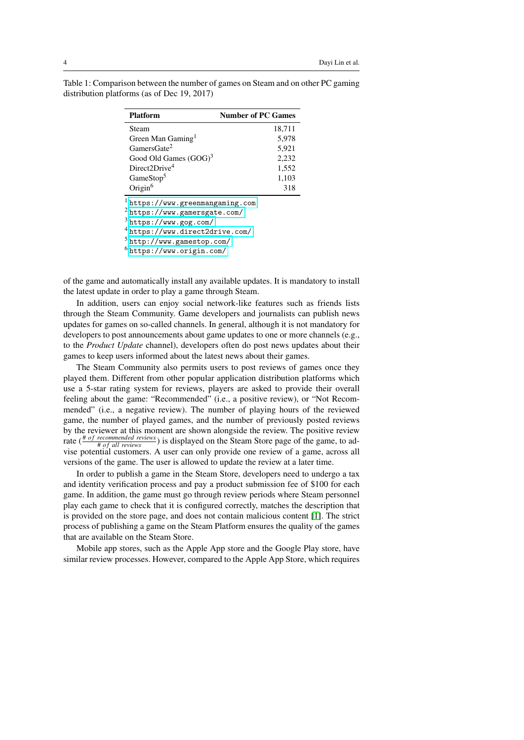| <b>Platform</b>                   | <b>Number of PC Games</b> |
|-----------------------------------|---------------------------|
| Steam                             | 18,711                    |
| Green Man Gaming <sup>1</sup>     | 5,978                     |
| GamersGate <sup>2</sup>           | 5,921                     |
| Good Old Games (GOG) <sup>3</sup> | 2,232                     |
| Direct2Drive <sup>4</sup>         | 1,552                     |
| GameStop <sup>5</sup>             | 1,103                     |
| Origin $6$                        | 318                       |

<span id="page-3-0"></span>Table 1: Comparison between the number of games on Steam and on other PC gaming distribution platforms (as of Dec 19, 2017)

 $1$ <https://www.greenmangaming.com>

<sup>2</sup> <https://www.gamersgate.com/>

<sup>3</sup> <https://www.gog.com/>

<sup>4</sup> <https://www.direct2drive.com/>

<sup>5</sup> <http://www.gamestop.com/>

 $6$ <https://www.origin.com/>

of the game and automatically install any available updates. It is mandatory to install the latest update in order to play a game through Steam.

In addition, users can enjoy social network-like features such as friends lists through the Steam Community. Game developers and journalists can publish news updates for games on so-called channels. In general, although it is not mandatory for developers to post announcements about game updates to one or more channels (e.g., to the *Product Update* channel), developers often do post news updates about their games to keep users informed about the latest news about their games.

The Steam Community also permits users to post reviews of games once they played them. Different from other popular application distribution platforms which use a 5-star rating system for reviews, players are asked to provide their overall feeling about the game: "Recommended" (i.e., a positive review), or "Not Recommended" (i.e., a negative review). The number of playing hours of the reviewed game, the number of played games, and the number of previously posted reviews by the reviewer at this moment are shown alongside the review. The positive review rate  $(\frac{\text{# of recommended reviews}}{\text{# of all reviews}})$  is displayed on the Steam Store page of the game, to advise potential customers. A user can only provide one review of a game, across all versions of the game. The user is allowed to update the review at a later time.

In order to publish a game in the Steam Store, developers need to undergo a tax and identity verification process and pay a product submission fee of \$100 for each game. In addition, the game must go through review periods where Steam personnel play each game to check that it is configured correctly, matches the description that is provided on the store page, and does not contain malicious content [\[1\]](#page-33-1). The strict process of publishing a game on the Steam Platform ensures the quality of the games that are available on the Steam Store.

Mobile app stores, such as the Apple App store and the Google Play store, have similar review processes. However, compared to the Apple App Store, which requires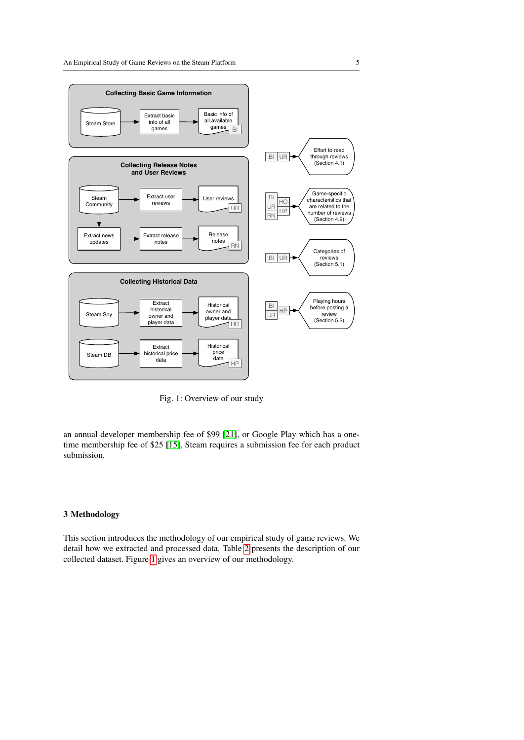<span id="page-4-1"></span>

Fig. 1: Overview of our study

an annual developer membership fee of \$99 [\[21\]](#page-34-3), or Google Play which has a onetime membership fee of \$25 [\[15\]](#page-34-4), Steam requires a submission fee for each product submission.

# <span id="page-4-0"></span>3 Methodology

This section introduces the methodology of our empirical study of game reviews. We detail how we extracted and processed data. Table [2](#page-5-0) presents the description of our collected dataset. Figure [1](#page-4-1) gives an overview of our methodology.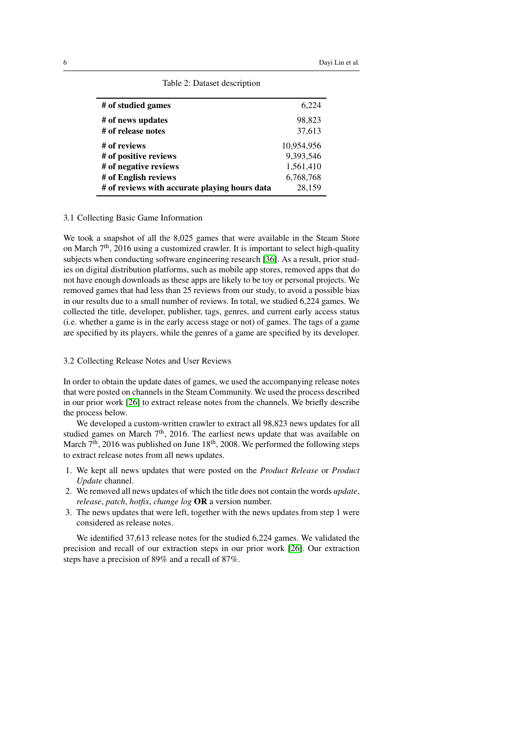<span id="page-5-0"></span>

| # of studied games                            | 6,224      |
|-----------------------------------------------|------------|
| # of news updates                             | 98,823     |
| # of release notes                            | 37,613     |
| # of reviews                                  | 10,954,956 |
| # of positive reviews                         | 9,393,546  |
| # of negative reviews                         | 1,561,410  |
| # of English reviews                          | 6,768,768  |
| # of reviews with accurate playing hours data | 28,159     |

Table 2: Dataset description

### 3.1 Collecting Basic Game Information

We took a snapshot of all the 8,025 games that were available in the Steam Store on March  $7<sup>th</sup>$ , 2016 using a customized crawler. It is important to select high-quality subjects when conducting software engineering research [\[36\]](#page-35-2). As a result, prior studies on digital distribution platforms, such as mobile app stores, removed apps that do not have enough downloads as these apps are likely to be toy or personal projects. We removed games that had less than 25 reviews from our study, to avoid a possible bias in our results due to a small number of reviews. In total, we studied 6,224 games. We collected the title, developer, publisher, tags, genres, and current early access status (i.e. whether a game is in the early access stage or not) of games. The tags of a game are specified by its players, while the genres of a game are specified by its developer.

### 3.2 Collecting Release Notes and User Reviews

In order to obtain the update dates of games, we used the accompanying release notes that were posted on channels in the Steam Community. We used the process described in our prior work [\[26\]](#page-35-0) to extract release notes from the channels. We briefly describe the process below.

We developed a custom-written crawler to extract all 98,823 news updates for all studied games on March  $7<sup>th</sup>$ , 2016. The earliest news update that was available on March  $7<sup>th</sup>$ , 2016 was published on June 18<sup>th</sup>, 2008. We performed the following steps to extract release notes from all news updates.

- 1. We kept all news updates that were posted on the *Product Release* or *Product Update* channel.
- 2. We removed all news updates of which the title does not contain the words *update*, *release*, *patch*, *hotfix*, *change log* OR a version number.
- 3. The news updates that were left, together with the news updates from step 1 were considered as release notes.

We identified 37,613 release notes for the studied 6,224 games. We validated the precision and recall of our extraction steps in our prior work [\[26\]](#page-35-0). Our extraction steps have a precision of 89% and a recall of 87%.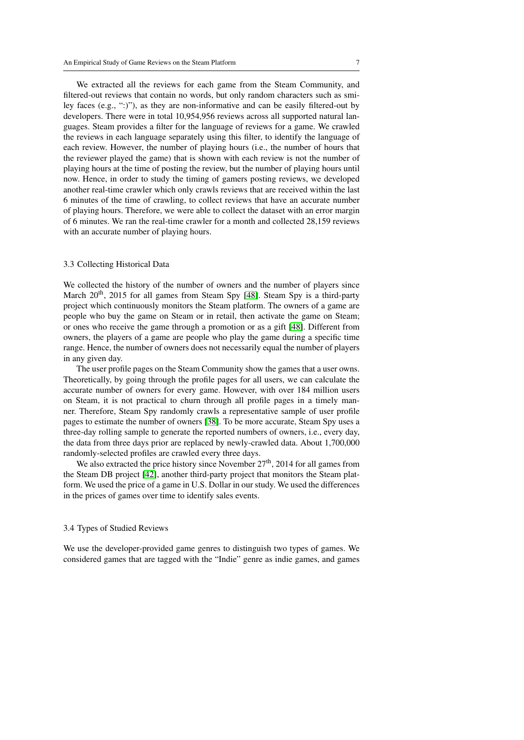We extracted all the reviews for each game from the Steam Community, and filtered-out reviews that contain no words, but only random characters such as smiley faces (e.g., ":)"), as they are non-informative and can be easily filtered-out by developers. There were in total 10,954,956 reviews across all supported natural languages. Steam provides a filter for the language of reviews for a game. We crawled the reviews in each language separately using this filter, to identify the language of each review. However, the number of playing hours (i.e., the number of hours that the reviewer played the game) that is shown with each review is not the number of playing hours at the time of posting the review, but the number of playing hours until now. Hence, in order to study the timing of gamers posting reviews, we developed another real-time crawler which only crawls reviews that are received within the last 6 minutes of the time of crawling, to collect reviews that have an accurate number of playing hours. Therefore, we were able to collect the dataset with an error margin of 6 minutes. We ran the real-time crawler for a month and collected 28,159 reviews with an accurate number of playing hours.

### 3.3 Collecting Historical Data

We collected the history of the number of owners and the number of players since March  $20^{th}$ ,  $2015$  for all games from Steam Spy [\[48\]](#page-36-3). Steam Spy is a third-party project which continuously monitors the Steam platform. The owners of a game are people who buy the game on Steam or in retail, then activate the game on Steam; or ones who receive the game through a promotion or as a gift [\[48\]](#page-36-3). Different from owners, the players of a game are people who play the game during a specific time range. Hence, the number of owners does not necessarily equal the number of players in any given day.

The user profile pages on the Steam Community show the games that a user owns. Theoretically, by going through the profile pages for all users, we can calculate the accurate number of owners for every game. However, with over 184 million users on Steam, it is not practical to churn through all profile pages in a timely manner. Therefore, Steam Spy randomly crawls a representative sample of user profile pages to estimate the number of owners [\[38\]](#page-35-3). To be more accurate, Steam Spy uses a three-day rolling sample to generate the reported numbers of owners, i.e., every day, the data from three days prior are replaced by newly-crawled data. About 1,700,000 randomly-selected profiles are crawled every three days.

We also extracted the price history since November  $27<sup>th</sup>$ , 2014 for all games from the Steam DB project [\[42\]](#page-36-6), another third-party project that monitors the Steam platform. We used the price of a game in U.S. Dollar in our study. We used the differences in the prices of games over time to identify sales events.

### <span id="page-6-0"></span>3.4 Types of Studied Reviews

We use the developer-provided game genres to distinguish two types of games. We considered games that are tagged with the "Indie" genre as indie games, and games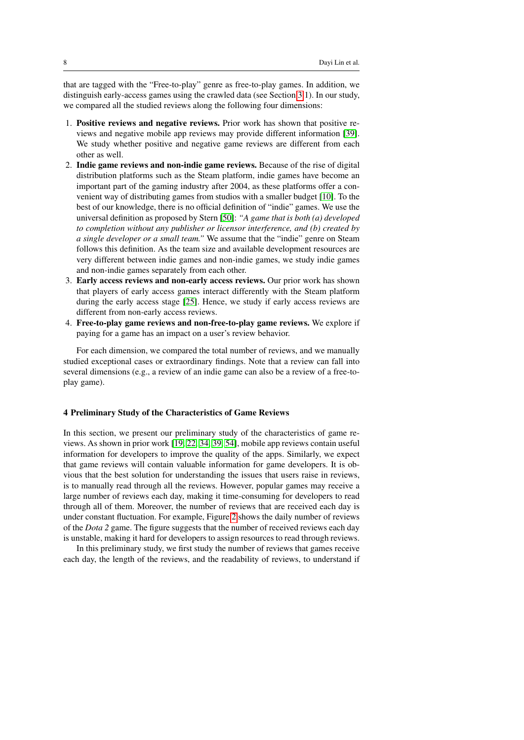that are tagged with the "Free-to-play" genre as free-to-play games. In addition, we distinguish early-access games using the crawled data (see Section [3.](#page-4-0)1). In our study, we compared all the studied reviews along the following four dimensions:

- 1. Positive reviews and negative reviews. Prior work has shown that positive reviews and negative mobile app reviews may provide different information [\[39\]](#page-35-1). We study whether positive and negative game reviews are different from each other as well.
- 2. Indie game reviews and non-indie game reviews. Because of the rise of digital distribution platforms such as the Steam platform, indie games have become an important part of the gaming industry after 2004, as these platforms offer a convenient way of distributing games from studios with a smaller budget [\[10\]](#page-33-2). To the best of our knowledge, there is no official definition of "indie" games. We use the universal definition as proposed by Stern [\[50\]](#page-36-7): *"A game that is both (a) developed to completion without any publisher or licensor interference, and (b) created by a single developer or a small team."* We assume that the "indie" genre on Steam follows this definition. As the team size and available development resources are very different between indie games and non-indie games, we study indie games and non-indie games separately from each other.
- 3. Early access reviews and non-early access reviews. Our prior work has shown that players of early access games interact differently with the Steam platform during the early access stage [\[25\]](#page-35-4). Hence, we study if early access reviews are different from non-early access reviews.
- 4. Free-to-play game reviews and non-free-to-play game reviews. We explore if paying for a game has an impact on a user's review behavior.

For each dimension, we compared the total number of reviews, and we manually studied exceptional cases or extraordinary findings. Note that a review can fall into several dimensions (e.g., a review of an indie game can also be a review of a free-toplay game).

### <span id="page-7-0"></span>4 Preliminary Study of the Characteristics of Game Reviews

In this section, we present our preliminary study of the characteristics of game reviews. As shown in prior work [\[19,](#page-34-1) [22,](#page-34-2) [34,](#page-35-5) [39,](#page-35-1) [54\]](#page-36-2), mobile app reviews contain useful information for developers to improve the quality of the apps. Similarly, we expect that game reviews will contain valuable information for game developers. It is obvious that the best solution for understanding the issues that users raise in reviews, is to manually read through all the reviews. However, popular games may receive a large number of reviews each day, making it time-consuming for developers to read through all of them. Moreover, the number of reviews that are received each day is under constant fluctuation. For example, Figure [2](#page-8-0) shows the daily number of reviews of the *Dota 2* game. The figure suggests that the number of received reviews each day is unstable, making it hard for developers to assign resources to read through reviews.

In this preliminary study, we first study the number of reviews that games receive each day, the length of the reviews, and the readability of reviews, to understand if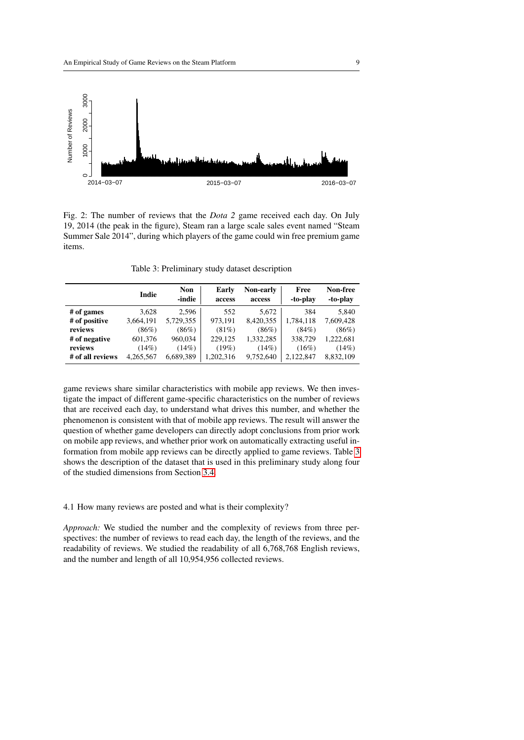<span id="page-8-0"></span>

Fig. 2: The number of reviews that the *Dota 2* game received each day. On July 19, 2014 (the peak in the figure), Steam ran a large scale sales event named "Steam Summer Sale 2014", during which players of the game could win free premium game items.

Table 3: Preliminary study dataset description

<span id="page-8-1"></span>

|                  | Indie     | Non<br>-indie | Early<br>access | <b>Non-early</b><br>access | Free<br>-to-play | Non-free<br>-to-play |
|------------------|-----------|---------------|-----------------|----------------------------|------------------|----------------------|
| # of games       | 3,628     | 2.596         | 552             | 5.672                      | 384              | 5.840                |
| # of positive    | 3.664.191 | 5,729,355     | 973,191         | 8,420,355                  | 1,784,118        | 7,609,428            |
| reviews          | (86%)     | (86%)         | $(81\%)$        | (86%)                      | (84%)            | $(86\%)$             |
| # of negative    | 601,376   | 960,034       | 229,125         | 1,332,285                  | 338,729          | 1,222,681            |
| reviews          | $(14\%)$  | (14%)         | $(19\%)$        | (14%)                      | (16%)            | (14%)                |
| # of all reviews | 4,265,567 | 6,689,389     | 1,202,316       | 9,752,640                  | 2.122.847        | 8,832,109            |

game reviews share similar characteristics with mobile app reviews. We then investigate the impact of different game-specific characteristics on the number of reviews that are received each day, to understand what drives this number, and whether the phenomenon is consistent with that of mobile app reviews. The result will answer the question of whether game developers can directly adopt conclusions from prior work on mobile app reviews, and whether prior work on automatically extracting useful information from mobile app reviews can be directly applied to game reviews. Table [3](#page-8-1) shows the description of the dataset that is used in this preliminary study along four of the studied dimensions from Section [3.4.](#page-6-0)

# <span id="page-8-2"></span>4.1 How many reviews are posted and what is their complexity?

*Approach:* We studied the number and the complexity of reviews from three perspectives: the number of reviews to read each day, the length of the reviews, and the readability of reviews. We studied the readability of all 6,768,768 English reviews, and the number and length of all 10,954,956 collected reviews.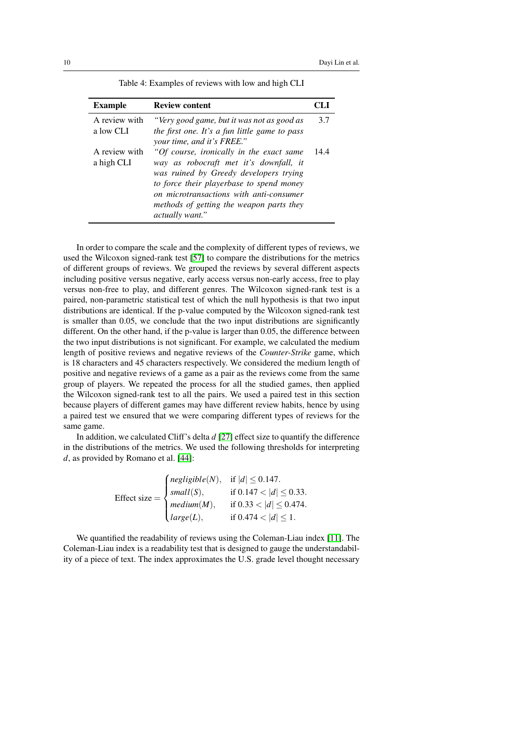<span id="page-9-0"></span>

| <b>Example</b>              | <b>Review content</b>                                                                                                                                                                                                                                                              |      |
|-----------------------------|------------------------------------------------------------------------------------------------------------------------------------------------------------------------------------------------------------------------------------------------------------------------------------|------|
| A review with<br>a low CLI  | "Very good game, but it was not as good as<br>the first one. It's a fun little game to pass<br>your time, and it's FREE."                                                                                                                                                          | 3.7  |
| A review with<br>a high CLI | "Of course, ironically in the exact same<br>way as robocraft met it's downfall, it<br>was ruined by Greedy developers trying<br>to force their playerbase to spend money<br>on microtransactions with anti-consumer<br>methods of getting the weapon parts they<br>actually want." | 14.4 |

Table 4: Examples of reviews with low and high CLI

In order to compare the scale and the complexity of different types of reviews, we used the Wilcoxon signed-rank test [\[57\]](#page-37-1) to compare the distributions for the metrics of different groups of reviews. We grouped the reviews by several different aspects including positive versus negative, early access versus non-early access, free to play versus non-free to play, and different genres. The Wilcoxon signed-rank test is a paired, non-parametric statistical test of which the null hypothesis is that two input distributions are identical. If the p-value computed by the Wilcoxon signed-rank test is smaller than 0.05, we conclude that the two input distributions are significantly different. On the other hand, if the p-value is larger than 0.05, the difference between the two input distributions is not significant. For example, we calculated the medium length of positive reviews and negative reviews of the *Counter-Strike* game, which is 18 characters and 45 characters respectively. We considered the medium length of positive and negative reviews of a game as a pair as the reviews come from the same group of players. We repeated the process for all the studied games, then applied the Wilcoxon signed-rank test to all the pairs. We used a paired test in this section because players of different games may have different review habits, hence by using a paired test we ensured that we were comparing different types of reviews for the same game.

In addition, we calculated Cliff's delta *d* [\[27\]](#page-35-6) effect size to quantify the difference in the distributions of the metrics. We used the following thresholds for interpreting *d*, as provided by Romano et al. [\[44\]](#page-36-8):

|                                                                   | $\int$ <i>negligible(N)</i> , if $ d  \le 0.147$ . |                              |
|-------------------------------------------------------------------|----------------------------------------------------|------------------------------|
| Effect size = $\begin{cases} small(S), \\ medium(M), \end{cases}$ |                                                    | if $0.147 <  d  \leq 0.33$ . |
|                                                                   |                                                    | if $0.33 <  d  \le 0.474$ .  |
|                                                                   | $\big( \text{large}(L), \big)$                     | if $0.474 <  d  \leq 1$ .    |

We quantified the readability of reviews using the Coleman-Liau index [\[11\]](#page-34-5). The Coleman-Liau index is a readability test that is designed to gauge the understandability of a piece of text. The index approximates the U.S. grade level thought necessary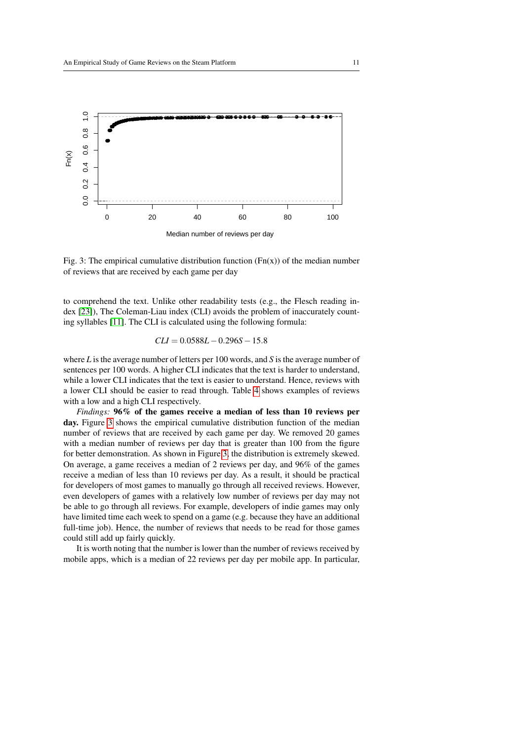<span id="page-10-0"></span>

Fig. 3: The empirical cumulative distribution function  $(Fn(x))$  of the median number of reviews that are received by each game per day

to comprehend the text. Unlike other readability tests (e.g., the Flesch reading index [\[23\]](#page-34-6)), The Coleman-Liau index (CLI) avoids the problem of inaccurately counting syllables [\[11\]](#page-34-5). The CLI is calculated using the following formula:

$$
CLI = 0.0588L - 0.296S - 15.8
$$

where *L* is the average number of letters per 100 words, and *S* is the average number of sentences per 100 words. A higher CLI indicates that the text is harder to understand, while a lower CLI indicates that the text is easier to understand. Hence, reviews with a lower CLI should be easier to read through. Table [4](#page-9-0) shows examples of reviews with a low and a high CLI respectively.

*Findings:* 96% of the games receive a median of less than 10 reviews per day. Figure [3](#page-10-0) shows the empirical cumulative distribution function of the median number of reviews that are received by each game per day. We removed 20 games with a median number of reviews per day that is greater than 100 from the figure for better demonstration. As shown in Figure [3,](#page-10-0) the distribution is extremely skewed. On average, a game receives a median of 2 reviews per day, and 96% of the games receive a median of less than 10 reviews per day. As a result, it should be practical for developers of most games to manually go through all received reviews. However, even developers of games with a relatively low number of reviews per day may not be able to go through all reviews. For example, developers of indie games may only have limited time each week to spend on a game (e.g. because they have an additional full-time job). Hence, the number of reviews that needs to be read for those games could still add up fairly quickly.

It is worth noting that the number is lower than the number of reviews received by mobile apps, which is a median of 22 reviews per day per mobile app. In particular,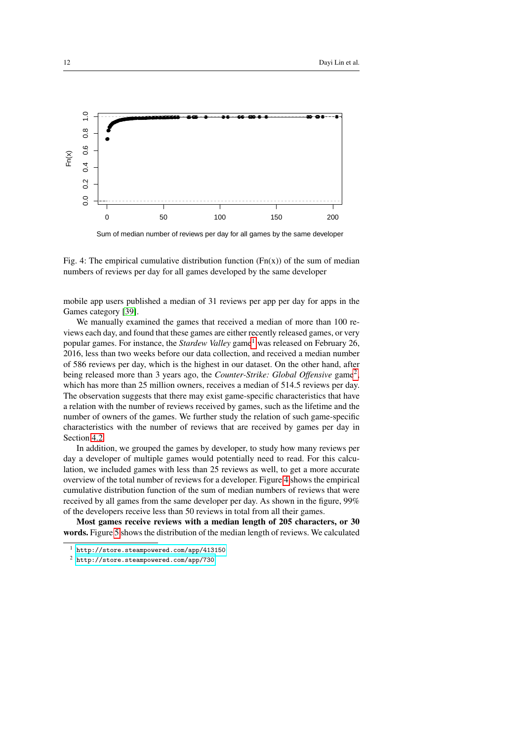<span id="page-11-2"></span>

Sum of median number of reviews per day for all games by the same developer

Fig. 4: The empirical cumulative distribution function  $(Fn(x))$  of the sum of median numbers of reviews per day for all games developed by the same developer

mobile app users published a median of 31 reviews per app per day for apps in the Games category [\[39\]](#page-35-1).

We manually examined the games that received a median of more than 100 reviews each day, and found that these games are either recently released games, or very popular games. For instance, the *Stardew Valley* game<sup>[1](#page-11-0)</sup> was released on February 26, 2016, less than two weeks before our data collection, and received a median number of 586 reviews per day, which is the highest in our dataset. On the other hand, after being released more than 3 years ago, the *Counter-Strike: Global Offensive* game[2](#page-11-1) , which has more than 25 million owners, receives a median of 514.5 reviews per day. The observation suggests that there may exist game-specific characteristics that have a relation with the number of reviews received by games, such as the lifetime and the number of owners of the games. We further study the relation of such game-specific characteristics with the number of reviews that are received by games per day in Section [4.2.](#page-15-0)

In addition, we grouped the games by developer, to study how many reviews per day a developer of multiple games would potentially need to read. For this calculation, we included games with less than 25 reviews as well, to get a more accurate overview of the total number of reviews for a developer. Figure [4](#page-11-2) shows the empirical cumulative distribution function of the sum of median numbers of reviews that were received by all games from the same developer per day. As shown in the figure, 99% of the developers receive less than 50 reviews in total from all their games.

Most games receive reviews with a median length of 205 characters, or 30 words. Figure [5](#page-12-0) shows the distribution of the median length of reviews. We calculated

<span id="page-11-0"></span><sup>1</sup> <http://store.steampowered.com/app/413150>

<span id="page-11-1"></span><sup>2</sup> <http://store.steampowered.com/app/730>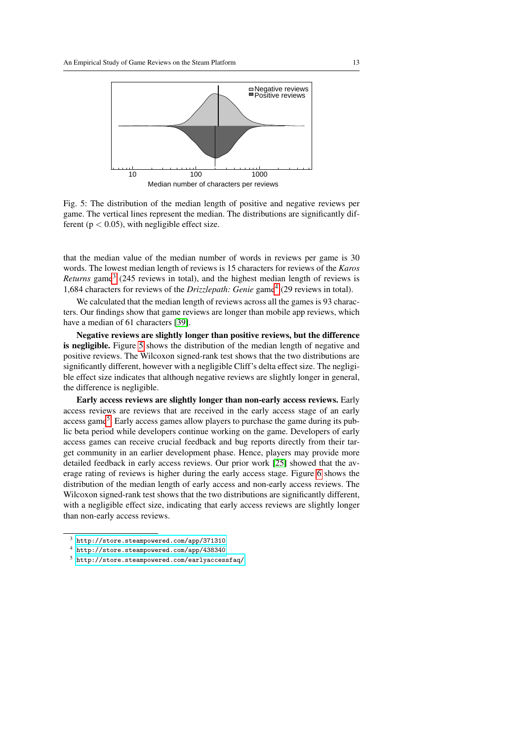<span id="page-12-0"></span>

Fig. 5: The distribution of the median length of positive and negative reviews per game. The vertical lines represent the median. The distributions are significantly different ( $p < 0.05$ ), with negligible effect size.

that the median value of the median number of words in reviews per game is 30 words. The lowest median length of reviews is 15 characters for reviews of the *Karos* Returns game<sup>[3](#page-12-1)</sup> (245 reviews in total), and the highest median length of reviews is 1,68[4](#page-12-2) characters for reviews of the *Drizzlepath: Genie* game<sup>4</sup> (29 reviews in total).

We calculated that the median length of reviews across all the games is 93 characters. Our findings show that game reviews are longer than mobile app reviews, which have a median of 61 characters [\[39\]](#page-35-1).

Negative reviews are slightly longer than positive reviews, but the difference is negligible. Figure [5](#page-12-0) shows the distribution of the median length of negative and positive reviews. The Wilcoxon signed-rank test shows that the two distributions are significantly different, however with a negligible Cliff's delta effect size. The negligible effect size indicates that although negative reviews are slightly longer in general, the difference is negligible.

Early access reviews are slightly longer than non-early access reviews. Early access reviews are reviews that are received in the early access stage of an early access game<sup>[5](#page-12-3)</sup>. Early access games allow players to purchase the game during its public beta period while developers continue working on the game. Developers of early access games can receive crucial feedback and bug reports directly from their target community in an earlier development phase. Hence, players may provide more detailed feedback in early access reviews. Our prior work [\[25\]](#page-35-4) showed that the average rating of reviews is higher during the early access stage. Figure [6](#page-13-0) shows the distribution of the median length of early access and non-early access reviews. The Wilcoxon signed-rank test shows that the two distributions are significantly different, with a negligible effect size, indicating that early access reviews are slightly longer than non-early access reviews.

<span id="page-12-1"></span><sup>3</sup> <http://store.steampowered.com/app/371310>

<span id="page-12-2"></span><sup>4</sup> <http://store.steampowered.com/app/438340>

<span id="page-12-3"></span><sup>5</sup> <http://store.steampowered.com/earlyaccessfaq/>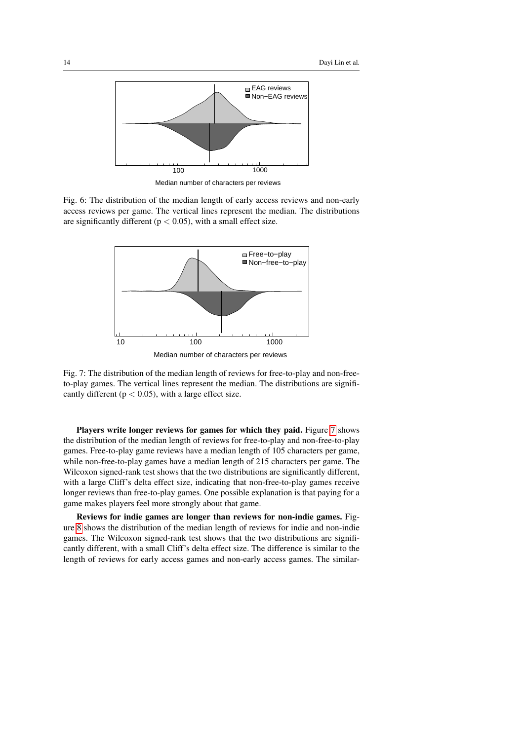<span id="page-13-0"></span>

Median number of characters per reviews

Fig. 6: The distribution of the median length of early access reviews and non-early access reviews per game. The vertical lines represent the median. The distributions are significantly different ( $p < 0.05$ ), with a small effect size.

<span id="page-13-1"></span>

Fig. 7: The distribution of the median length of reviews for free-to-play and non-freeto-play games. The vertical lines represent the median. The distributions are significantly different ( $p < 0.05$ ), with a large effect size.

Players write longer reviews for games for which they paid. Figure [7](#page-13-1) shows the distribution of the median length of reviews for free-to-play and non-free-to-play games. Free-to-play game reviews have a median length of 105 characters per game, while non-free-to-play games have a median length of 215 characters per game. The Wilcoxon signed-rank test shows that the two distributions are significantly different, with a large Cliff's delta effect size, indicating that non-free-to-play games receive longer reviews than free-to-play games. One possible explanation is that paying for a game makes players feel more strongly about that game.

Reviews for indie games are longer than reviews for non-indie games. Figure [8](#page-14-0) shows the distribution of the median length of reviews for indie and non-indie games. The Wilcoxon signed-rank test shows that the two distributions are significantly different, with a small Cliff's delta effect size. The difference is similar to the length of reviews for early access games and non-early access games. The similar-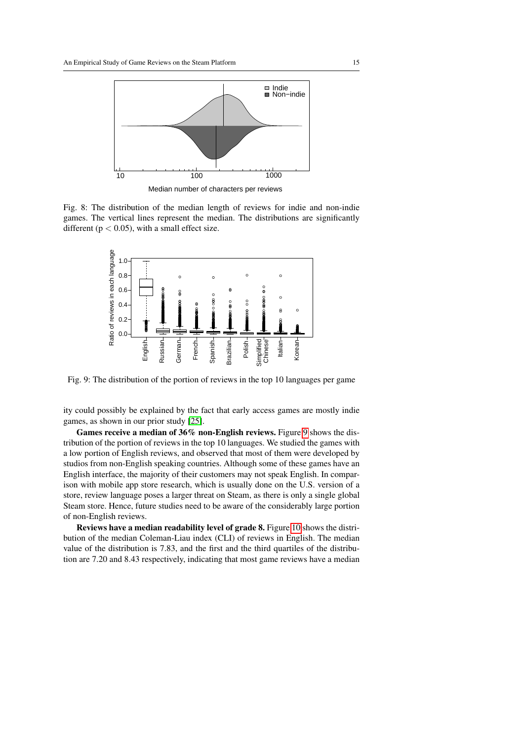<span id="page-14-0"></span>

Median number of characters per reviews

Fig. 8: The distribution of the median length of reviews for indie and non-indie games. The vertical lines represent the median. The distributions are significantly different ( $p < 0.05$ ), with a small effect size.

<span id="page-14-1"></span>

Fig. 9: The distribution of the portion of reviews in the top 10 languages per game

ity could possibly be explained by the fact that early access games are mostly indie games, as shown in our prior study [\[25\]](#page-35-4).

Games receive a median of 36% non-English reviews. Figure [9](#page-14-1) shows the distribution of the portion of reviews in the top 10 languages. We studied the games with a low portion of English reviews, and observed that most of them were developed by studios from non-English speaking countries. Although some of these games have an English interface, the majority of their customers may not speak English. In comparison with mobile app store research, which is usually done on the U.S. version of a store, review language poses a larger threat on Steam, as there is only a single global Steam store. Hence, future studies need to be aware of the considerably large portion of non-English reviews.

Reviews have a median readability level of grade 8. Figure [10](#page-15-1) shows the distribution of the median Coleman-Liau index (CLI) of reviews in English. The median value of the distribution is 7.83, and the first and the third quartiles of the distribution are 7.20 and 8.43 respectively, indicating that most game reviews have a median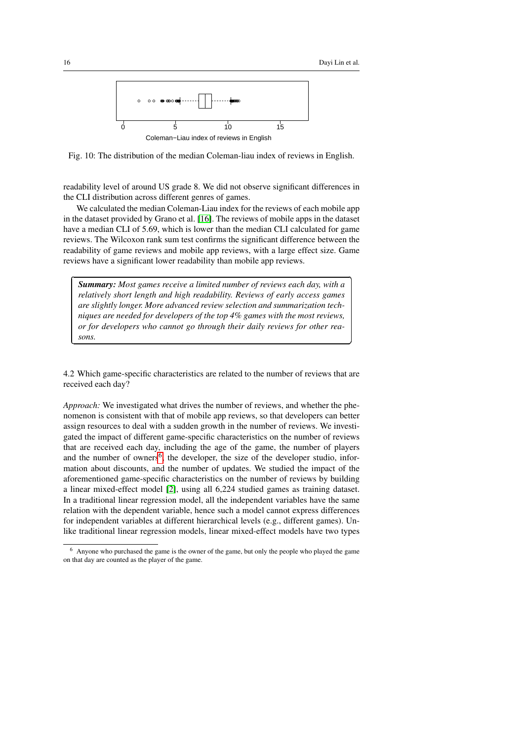<sup>1</sup>

✁

<span id="page-15-1"></span>

Fig. 10: The distribution of the median Coleman-liau index of reviews in English.

readability level of around US grade 8. We did not observe significant differences in the CLI distribution across different genres of games.

We calculated the median Coleman-Liau index for the reviews of each mobile app in the dataset provided by Grano et al. [\[16\]](#page-34-7). The reviews of mobile apps in the dataset have a median CLI of 5.69, which is lower than the median CLI calculated for game reviews. The Wilcoxon rank sum test confirms the significant difference between the readability of game reviews and mobile app reviews, with a large effect size. Game reviews have a significant lower readability than mobile app reviews.

*Summary: Most games receive a limited number of reviews each day, with a relatively short length and high readability. Reviews of early access games are slightly longer. More advanced review selection and summarization techniques are needed for developers of the top 4% games with the most reviews, or for developers who cannot go through their daily reviews for other reasons.*

<span id="page-15-0"></span>4.2 Which game-specific characteristics are related to the number of reviews that are received each day?

*Approach:* We investigated what drives the number of reviews, and whether the phenomenon is consistent with that of mobile app reviews, so that developers can better assign resources to deal with a sudden growth in the number of reviews. We investigated the impact of different game-specific characteristics on the number of reviews that are received each day, including the age of the game, the number of players and the number of owners<sup>[6](#page-15-2)</sup>, the developer, the size of the developer studio, information about discounts, and the number of updates. We studied the impact of the aforementioned game-specific characteristics on the number of reviews by building a linear mixed-effect model [\[2\]](#page-33-3), using all 6,224 studied games as training dataset. In a traditional linear regression model, all the independent variables have the same relation with the dependent variable, hence such a model cannot express differences for independent variables at different hierarchical levels (e.g., different games). Unlike traditional linear regression models, linear mixed-effect models have two types

✄

 $\overline{a}$ 

<span id="page-15-2"></span><sup>6</sup> Anyone who purchased the game is the owner of the game, but only the people who played the game on that day are counted as the player of the game.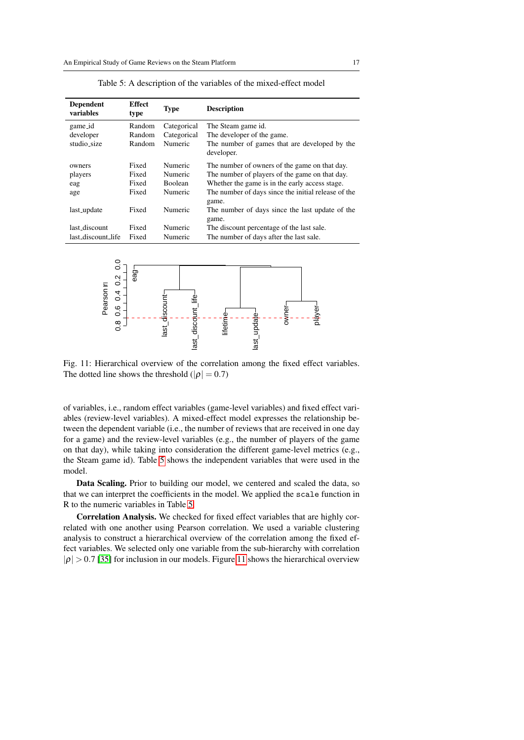<span id="page-16-0"></span>

| <b>Dependent</b><br>variables | <b>Effect</b><br>type | <b>Type</b>    | <b>Description</b>                                           |
|-------------------------------|-----------------------|----------------|--------------------------------------------------------------|
| game_id                       | Random                | Categorical    | The Steam game id.                                           |
| developer                     | Random                | Categorical    | The developer of the game.                                   |
| studio size                   | Random                | Numeric        | The number of games that are developed by the<br>developer.  |
| owners                        | Fixed                 | Numeric        | The number of owners of the game on that day.                |
| players                       | Fixed                 | Numeric        | The number of players of the game on that day.               |
| eag                           | Fixed                 | <b>Boolean</b> | Whether the game is in the early access stage.               |
| age                           | Fixed                 | Numeric        | The number of days since the initial release of the<br>game. |
| last_update                   | Fixed                 | Numeric        | The number of days since the last update of the<br>game.     |
| last discount                 | Fixed                 | Numeric        | The discount percentage of the last sale.                    |
| last_discount_life            | Fixed                 | Numeric        | The number of days after the last sale.                      |

Table 5: A description of the variables of the mixed-effect model

<span id="page-16-1"></span>

Fig. 11: Hierarchical overview of the correlation among the fixed effect variables. The dotted line shows the threshold ( $|\rho| = 0.7$ )

of variables, i.e., random effect variables (game-level variables) and fixed effect variables (review-level variables). A mixed-effect model expresses the relationship between the dependent variable (i.e., the number of reviews that are received in one day for a game) and the review-level variables (e.g., the number of players of the game on that day), while taking into consideration the different game-level metrics (e.g., the Steam game id). Table [5](#page-16-0) shows the independent variables that were used in the model.

Data Scaling. Prior to building our model, we centered and scaled the data, so that we can interpret the coefficients in the model. We applied the scale function in R to the numeric variables in Table [5.](#page-16-0)

Correlation Analysis. We checked for fixed effect variables that are highly correlated with one another using Pearson correlation. We used a variable clustering analysis to construct a hierarchical overview of the correlation among the fixed effect variables. We selected only one variable from the sub-hierarchy with correlation  $|\rho| > 0.7$  [\[35\]](#page-35-7) for inclusion in our models. Figure [11](#page-16-1) shows the hierarchical overview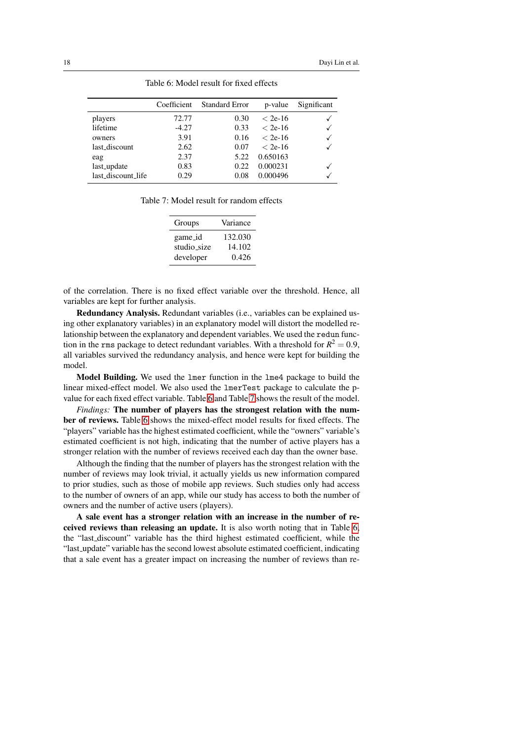<span id="page-17-0"></span>

|                    | Coefficient | <b>Standard Error</b> | p-value   | Significant |
|--------------------|-------------|-----------------------|-----------|-------------|
| players            | 72.77       | 0.30                  | $<$ 2e-16 |             |
| lifetime           | $-4.27$     | 0.33                  | $< 2e-16$ |             |
| owners             | 3.91        | 0.16                  | $< 2e-16$ |             |
| last_discount      | 2.62        | 0.07                  | $< 2e-16$ |             |
| eag                | 2.37        | 5.22                  | 0.650163  |             |
| last_update        | 0.83        | 0.22                  | 0.000231  |             |
| last discount life | 0.29        | 0.08                  | 0.000496  |             |

Table 6: Model result for fixed effects

<span id="page-17-1"></span>Table 7: Model result for random effects

| Groups      | Variance |
|-------------|----------|
| game_id     | 132.030  |
| studio_size | 14.102   |
| developer   | 0.426    |

of the correlation. There is no fixed effect variable over the threshold. Hence, all variables are kept for further analysis.

Redundancy Analysis. Redundant variables (i.e., variables can be explained using other explanatory variables) in an explanatory model will distort the modelled relationship between the explanatory and dependent variables. We used the redun function in the rms package to detect redundant variables. With a threshold for  $R^2 = 0.9$ , all variables survived the redundancy analysis, and hence were kept for building the model.

Model Building. We used the lmer function in the lme4 package to build the linear mixed-effect model. We also used the lmerTest package to calculate the pvalue for each fixed effect variable. Table [6](#page-17-0) and Table [7](#page-17-1) shows the result of the model.

*Findings:* The number of players has the strongest relation with the number of reviews. Table [6](#page-17-0) shows the mixed-effect model results for fixed effects. The "players" variable has the highest estimated coefficient, while the "owners" variable's estimated coefficient is not high, indicating that the number of active players has a stronger relation with the number of reviews received each day than the owner base.

Although the finding that the number of players has the strongest relation with the number of reviews may look trivial, it actually yields us new information compared to prior studies, such as those of mobile app reviews. Such studies only had access to the number of owners of an app, while our study has access to both the number of owners and the number of active users (players).

A sale event has a stronger relation with an increase in the number of received reviews than releasing an update. It is also worth noting that in Table [6,](#page-17-0) the "last discount" variable has the third highest estimated coefficient, while the "last update" variable has the second lowest absolute estimated coefficient, indicating that a sale event has a greater impact on increasing the number of reviews than re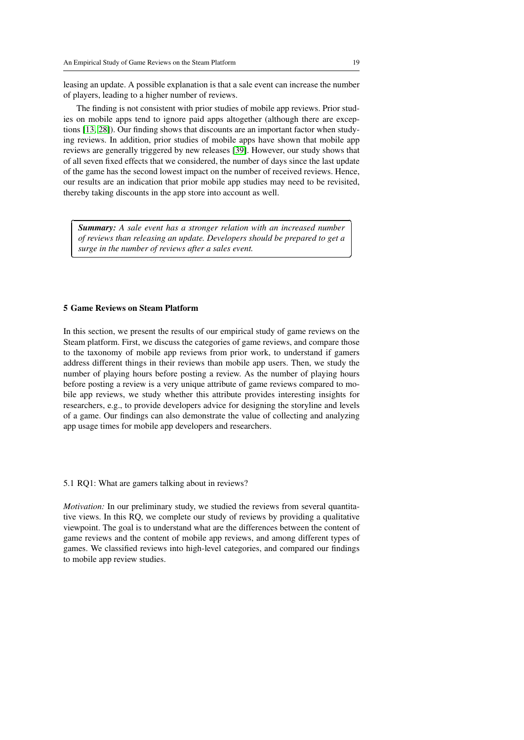leasing an update. A possible explanation is that a sale event can increase the number of players, leading to a higher number of reviews.

The finding is not consistent with prior studies of mobile app reviews. Prior studies on mobile apps tend to ignore paid apps altogether (although there are exceptions [\[13,](#page-34-8) [28\]](#page-35-8)). Our finding shows that discounts are an important factor when studying reviews. In addition, prior studies of mobile apps have shown that mobile app reviews are generally triggered by new releases [\[39\]](#page-35-1). However, our study shows that of all seven fixed effects that we considered, the number of days since the last update of the game has the second lowest impact on the number of received reviews. Hence, our results are an indication that prior mobile app studies may need to be revisited, thereby taking discounts in the app store into account as well.

*Summary: A sale event has a stronger relation with an increased number of reviews than releasing an update. Developers should be prepared to get a surge in the number of reviews after a sales event.*

# <span id="page-18-0"></span>5 Game Reviews on Steam Platform

✄

 $\overline{a}$ 

In this section, we present the results of our empirical study of game reviews on the Steam platform. First, we discuss the categories of game reviews, and compare those to the taxonomy of mobile app reviews from prior work, to understand if gamers address different things in their reviews than mobile app users. Then, we study the number of playing hours before posting a review. As the number of playing hours before posting a review is a very unique attribute of game reviews compared to mobile app reviews, we study whether this attribute provides interesting insights for researchers, e.g., to provide developers advice for designing the storyline and levels of a game. Our findings can also demonstrate the value of collecting and analyzing app usage times for mobile app developers and researchers.

#### <span id="page-18-1"></span>5.1 RQ1: What are gamers talking about in reviews?

*Motivation:* In our preliminary study, we studied the reviews from several quantitative views. In this RQ, we complete our study of reviews by providing a qualitative viewpoint. The goal is to understand what are the differences between the content of game reviews and the content of mobile app reviews, and among different types of games. We classified reviews into high-level categories, and compared our findings to mobile app review studies.

<sup>1</sup>

✁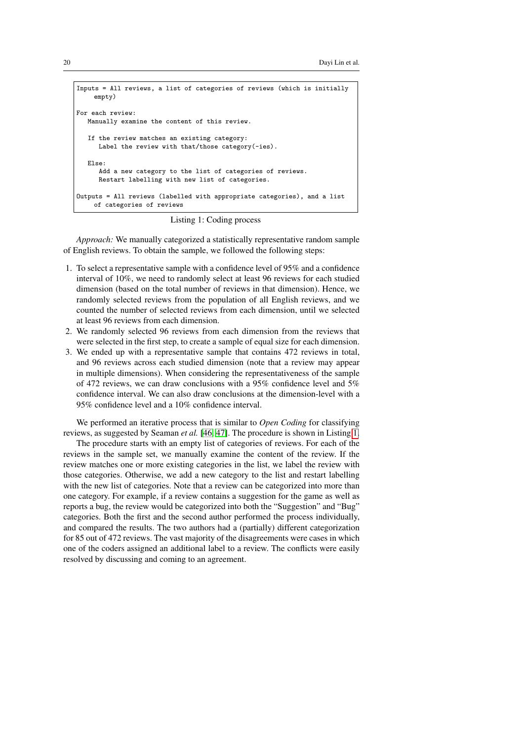```
Inputs = All reviews, a list of categories of reviews (which is initially
    empty)
For each review:
   Manually examine the content of this review.
   If the review matches an existing category:
      Label the review with that/those category(-ies).
   Else:
      Add a new category to the list of categories of reviews.
      Restart labelling with new list of categories.
Outputs = All reviews (labelled with appropriate categories), and a list
    of categories of reviews
```
Listing 1: Coding process

*Approach:* We manually categorized a statistically representative random sample of English reviews. To obtain the sample, we followed the following steps:

- 1. To select a representative sample with a confidence level of 95% and a confidence interval of 10%, we need to randomly select at least 96 reviews for each studied dimension (based on the total number of reviews in that dimension). Hence, we randomly selected reviews from the population of all English reviews, and we counted the number of selected reviews from each dimension, until we selected at least 96 reviews from each dimension.
- 2. We randomly selected 96 reviews from each dimension from the reviews that were selected in the first step, to create a sample of equal size for each dimension.
- 3. We ended up with a representative sample that contains 472 reviews in total, and 96 reviews across each studied dimension (note that a review may appear in multiple dimensions). When considering the representativeness of the sample of 472 reviews, we can draw conclusions with a 95% confidence level and 5% confidence interval. We can also draw conclusions at the dimension-level with a 95% confidence level and a 10% confidence interval.

We performed an iterative process that is similar to *Open Coding* for classifying reviews, as suggested by Seaman *et al.* [\[46,](#page-36-9) [47\]](#page-36-10). The procedure is shown in Listing [1.](#page-19-0)

The procedure starts with an empty list of categories of reviews. For each of the reviews in the sample set, we manually examine the content of the review. If the review matches one or more existing categories in the list, we label the review with those categories. Otherwise, we add a new category to the list and restart labelling with the new list of categories. Note that a review can be categorized into more than one category. For example, if a review contains a suggestion for the game as well as reports a bug, the review would be categorized into both the "Suggestion" and "Bug" categories. Both the first and the second author performed the process individually, and compared the results. The two authors had a (partially) different categorization for 85 out of 472 reviews. The vast majority of the disagreements were cases in which one of the coders assigned an additional label to a review. The conflicts were easily resolved by discussing and coming to an agreement.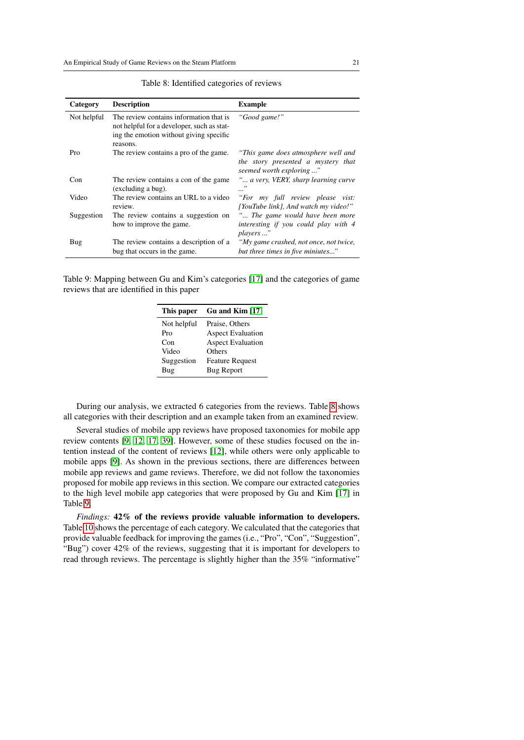<span id="page-20-0"></span>

| Category    | <b>Description</b>                                                                                                                           | <b>Example</b>                                                                                        |
|-------------|----------------------------------------------------------------------------------------------------------------------------------------------|-------------------------------------------------------------------------------------------------------|
| Not helpful | The review contains information that is<br>not helpful for a developer, such as stat-<br>ing the emotion without giving specific<br>reasons. | "Good game!"                                                                                          |
| Pro         | The review contains a pro of the game.                                                                                                       | "This game does atmosphere well and<br>the story presented a mystery that<br>seemed worth exploring " |
| Con         | The review contains a con of the game.<br>(excluding a bug).                                                                                 | " a very, VERY, sharp learning curve<br>,,                                                            |
| Video       | The review contains an URL to a video<br>review.                                                                                             | "For my full review please vist:<br>[YouTube link], And watch my video!"                              |
| Suggestion  | The review contains a suggestion on<br>how to improve the game.                                                                              | " The game would have been more<br>interesting if you could play with 4<br>players"                   |
| Bug         | The review contains a description of a<br>bug that occurs in the game.                                                                       | "My game crashed, not once, not twice,<br>but three times in five miniutes"                           |

Table 8: Identified categories of reviews

<span id="page-20-1"></span>Table 9: Mapping between Gu and Kim's categories [\[17\]](#page-34-9) and the categories of game reviews that are identified in this paper

| This paper  | Gu and Kim [17]          |
|-------------|--------------------------|
| Not helpful | Praise, Others           |
| Pro         | <b>Aspect Evaluation</b> |
| Con         | <b>Aspect Evaluation</b> |
| Video       | Others                   |
| Suggestion  | <b>Feature Request</b>   |
| Bug         | <b>Bug Report</b>        |

During our analysis, we extracted 6 categories from the reviews. Table [8](#page-20-0) shows all categories with their description and an example taken from an examined review.

Several studies of mobile app reviews have proposed taxonomies for mobile app review contents [\[9,](#page-33-4) [12,](#page-34-10) [17,](#page-34-9) [39\]](#page-35-1). However, some of these studies focused on the intention instead of the content of reviews [\[12\]](#page-34-10), while others were only applicable to mobile apps [\[9\]](#page-33-4). As shown in the previous sections, there are differences between mobile app reviews and game reviews. Therefore, we did not follow the taxonomies proposed for mobile app reviews in this section. We compare our extracted categories to the high level mobile app categories that were proposed by Gu and Kim [\[17\]](#page-34-9) in Table [9.](#page-20-1)

*Findings:* 42% of the reviews provide valuable information to developers. Table [10](#page-21-0) shows the percentage of each category. We calculated that the categories that provide valuable feedback for improving the games (i.e., "Pro", "Con", "Suggestion", "Bug") cover 42% of the reviews, suggesting that it is important for developers to read through reviews. The percentage is slightly higher than the 35% "informative"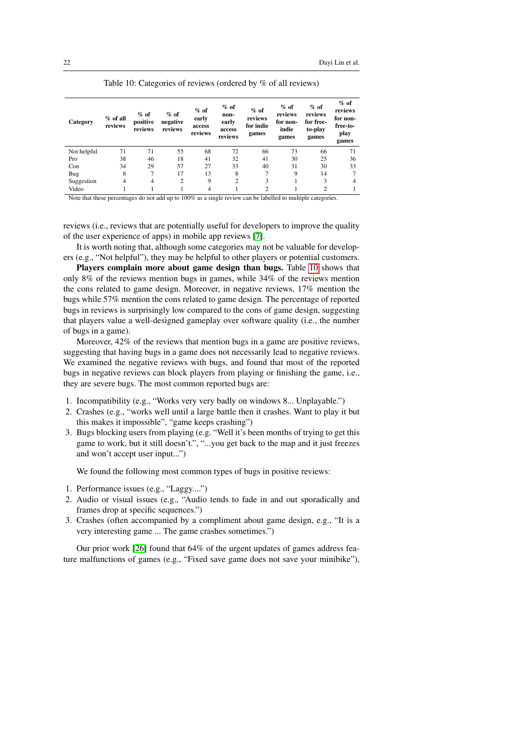<span id="page-21-0"></span>

| Category    | $%$ of all<br>reviews | $%$ of<br>positive<br>reviews | $%$ of<br>negative<br>reviews | $%$ of<br>early<br>access<br>reviews | $%$ of<br>non-<br>early<br>access<br>reviews | $%$ of<br>reviews<br>for indie<br>games | $%$ of<br>reviews<br>for non-<br>indie<br>games | $%$ of<br>reviews<br>for free-<br>to-play<br>games | $%$ of<br>reviews<br>for non-<br>free-to-<br>play<br>games |
|-------------|-----------------------|-------------------------------|-------------------------------|--------------------------------------|----------------------------------------------|-----------------------------------------|-------------------------------------------------|----------------------------------------------------|------------------------------------------------------------|
| Not helpful | 71                    | 71                            | 55                            | 68                                   | 72                                           | 66                                      | 73                                              | 66                                                 | 71                                                         |
| Pro         | 38                    | 46                            | 18                            | 41                                   | 32                                           | 41                                      | 30                                              | 25                                                 | 36                                                         |
| Con         | 34                    | 29                            | 57                            | 27                                   | 33                                           | 40                                      | 31                                              | 30                                                 | 33                                                         |
| Bug         | 8                     | 7                             | 17                            | 13                                   | 8                                            | 7                                       | 9                                               | 14                                                 |                                                            |
| Suggestion  | 4                     | 4                             | 2                             | 9                                    | $\overline{2}$                               | 3                                       |                                                 | 3                                                  | 4                                                          |
| Video       |                       |                               |                               | 4                                    |                                              | 2                                       |                                                 | 2                                                  |                                                            |

Table 10: Categories of reviews (ordered by % of all reviews)

Note that these percentages do not add up to 100% as a single review can be labelled to multiple categories.

reviews (i.e., reviews that are potentially useful for developers to improve the quality of the user experience of apps) in mobile app reviews [\[7\]](#page-33-5).

It is worth noting that, although some categories may not be valuable for developers (e.g., "Not helpful"), they may be helpful to other players or potential customers.

Players complain more about game design than bugs. Table [10](#page-21-0) shows that only 8% of the reviews mention bugs in games, while 34% of the reviews mention the cons related to game design. Moreover, in negative reviews, 17% mention the bugs while 57% mention the cons related to game design. The percentage of reported bugs in reviews is surprisingly low compared to the cons of game design, suggesting that players value a well-designed gameplay over software quality (i.e., the number of bugs in a game).

Moreover, 42% of the reviews that mention bugs in a game are positive reviews, suggesting that having bugs in a game does not necessarily lead to negative reviews. We examined the negative reviews with bugs, and found that most of the reported bugs in negative reviews can block players from playing or finishing the game, i.e., they are severe bugs. The most common reported bugs are:

- 1. Incompatibility (e.g., "Works very very badly on windows 8... Unplayable.")
- 2. Crashes (e.g., "works well until a large battle then it crashes. Want to play it but this makes it impossible", "game keeps crashing")
- 3. Bugs blocking users from playing (e.g. "Well it's been months of trying to get this game to work, but it still doesn't.", "...you get back to the map and it just freezes and won't accept user input...")

We found the following most common types of bugs in positive reviews:

- 1. Performance issues (e.g., "Laggy....")
- 2. Audio or visual issues (e.g., "Audio tends to fade in and out sporadically and frames drop at specific sequences.")
- 3. Crashes (often accompanied by a compliment about game design, e.g., "It is a very interesting game ... The game crashes sometimes.")

Our prior work [\[26\]](#page-35-0) found that 64% of the urgent updates of games address feature malfunctions of games (e.g., "Fixed save game does not save your minibike"),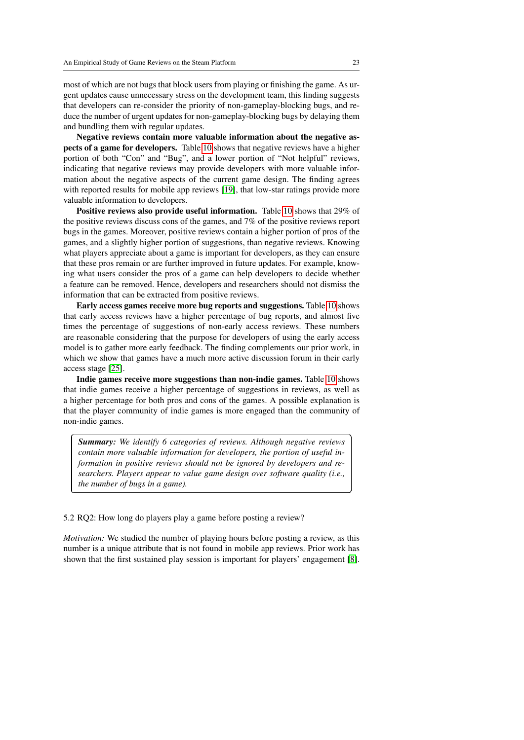most of which are not bugs that block users from playing or finishing the game. As urgent updates cause unnecessary stress on the development team, this finding suggests that developers can re-consider the priority of non-gameplay-blocking bugs, and reduce the number of urgent updates for non-gameplay-blocking bugs by delaying them and bundling them with regular updates.

Negative reviews contain more valuable information about the negative aspects of a game for developers. Table [10](#page-21-0) shows that negative reviews have a higher portion of both "Con" and "Bug", and a lower portion of "Not helpful" reviews, indicating that negative reviews may provide developers with more valuable information about the negative aspects of the current game design. The finding agrees with reported results for mobile app reviews [\[19\]](#page-34-1), that low-star ratings provide more valuable information to developers.

Positive reviews also provide useful information. Table [10](#page-21-0) shows that 29% of the positive reviews discuss cons of the games, and 7% of the positive reviews report bugs in the games. Moreover, positive reviews contain a higher portion of pros of the games, and a slightly higher portion of suggestions, than negative reviews. Knowing what players appreciate about a game is important for developers, as they can ensure that these pros remain or are further improved in future updates. For example, knowing what users consider the pros of a game can help developers to decide whether a feature can be removed. Hence, developers and researchers should not dismiss the information that can be extracted from positive reviews.

Early access games receive more bug reports and suggestions. Table [10](#page-21-0) shows that early access reviews have a higher percentage of bug reports, and almost five times the percentage of suggestions of non-early access reviews. These numbers are reasonable considering that the purpose for developers of using the early access model is to gather more early feedback. The finding complements our prior work, in which we show that games have a much more active discussion forum in their early access stage [\[25\]](#page-35-4).

Indie games receive more suggestions than non-indie games. Table [10](#page-21-0) shows that indie games receive a higher percentage of suggestions in reviews, as well as a higher percentage for both pros and cons of the games. A possible explanation is that the player community of indie games is more engaged than the community of non-indie games.

*Summary: We identify 6 categories of reviews. Although negative reviews contain more valuable information for developers, the portion of useful information in positive reviews should not be ignored by developers and researchers. Players appear to value game design over software quality (i.e., the number of bugs in a game).*

#### <span id="page-22-0"></span>5.2 RQ2: How long do players play a game before posting a review?

✄

 $\overline{a}$ 

*Motivation:* We studied the number of playing hours before posting a review, as this number is a unique attribute that is not found in mobile app reviews. Prior work has shown that the first sustained play session is important for players' engagement [\[8\]](#page-33-6).

Ĭ.

✁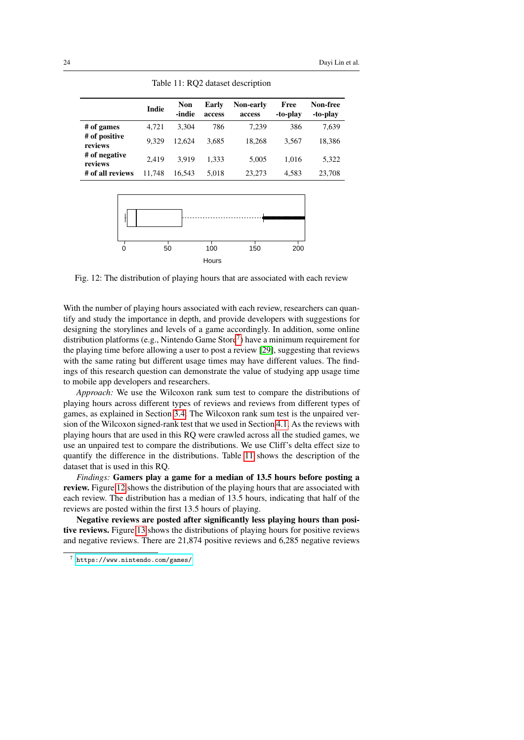<span id="page-23-1"></span>

|                          | Indie  | Non<br>-indie | Early<br>access | <b>Non-early</b><br>access | Free<br>-to-play | Non-free<br>-to-play |
|--------------------------|--------|---------------|-----------------|----------------------------|------------------|----------------------|
| # of games               | 4.721  | 3.304         | 786             | 7.239                      | 386              | 7,639                |
| # of positive<br>reviews | 9.329  | 12.624        | 3.685           | 18.268                     | 3.567            | 18,386               |
| # of negative<br>reviews | 2.419  | 3.919         | 1.333           | 5,005                      | 1.016            | 5.322                |
| # of all reviews         | 11.748 | 16.543        | 5,018           | 23,273                     | 4.583            | 23,708               |

Table 11: RQ2 dataset description

<span id="page-23-2"></span>

Fig. 12: The distribution of playing hours that are associated with each review

With the number of playing hours associated with each review, researchers can quantify and study the importance in depth, and provide developers with suggestions for designing the storylines and levels of a game accordingly. In addition, some online distribution platforms (e.g., Nintendo Game Store<sup>[7](#page-23-0)</sup>) have a minimum requirement for the playing time before allowing a user to post a review [\[29\]](#page-35-9), suggesting that reviews with the same rating but different usage times may have different values. The findings of this research question can demonstrate the value of studying app usage time to mobile app developers and researchers.

*Approach:* We use the Wilcoxon rank sum test to compare the distributions of playing hours across different types of reviews and reviews from different types of games, as explained in Section [3.4.](#page-6-0) The Wilcoxon rank sum test is the unpaired version of the Wilcoxon signed-rank test that we used in Section [4.1.](#page-8-2) As the reviews with playing hours that are used in this RQ were crawled across all the studied games, we use an unpaired test to compare the distributions. We use Cliff's delta effect size to quantify the difference in the distributions. Table [11](#page-23-1) shows the description of the dataset that is used in this RQ.

*Findings:* Gamers play a game for a median of 13.5 hours before posting a review. Figure [12](#page-23-2) shows the distribution of the playing hours that are associated with each review. The distribution has a median of 13.5 hours, indicating that half of the reviews are posted within the first 13.5 hours of playing.

Negative reviews are posted after significantly less playing hours than positive reviews. Figure [13](#page-24-0) shows the distributions of playing hours for positive reviews and negative reviews. There are 21,874 positive reviews and 6,285 negative reviews

<span id="page-23-0"></span><https://www.nintendo.com/games/>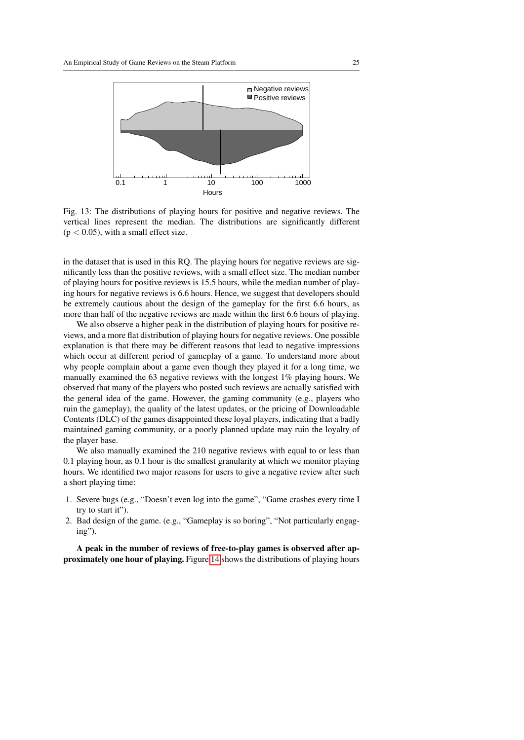<span id="page-24-0"></span>

Fig. 13: The distributions of playing hours for positive and negative reviews. The vertical lines represent the median. The distributions are significantly different  $(p < 0.05)$ , with a small effect size.

in the dataset that is used in this RQ. The playing hours for negative reviews are significantly less than the positive reviews, with a small effect size. The median number of playing hours for positive reviews is 15.5 hours, while the median number of playing hours for negative reviews is 6.6 hours. Hence, we suggest that developers should be extremely cautious about the design of the gameplay for the first 6.6 hours, as more than half of the negative reviews are made within the first 6.6 hours of playing.

We also observe a higher peak in the distribution of playing hours for positive reviews, and a more flat distribution of playing hours for negative reviews. One possible explanation is that there may be different reasons that lead to negative impressions which occur at different period of gameplay of a game. To understand more about why people complain about a game even though they played it for a long time, we manually examined the 63 negative reviews with the longest 1% playing hours. We observed that many of the players who posted such reviews are actually satisfied with the general idea of the game. However, the gaming community (e.g., players who ruin the gameplay), the quality of the latest updates, or the pricing of Downloadable Contents (DLC) of the games disappointed these loyal players, indicating that a badly maintained gaming community, or a poorly planned update may ruin the loyalty of the player base.

We also manually examined the 210 negative reviews with equal to or less than 0.1 playing hour, as 0.1 hour is the smallest granularity at which we monitor playing hours. We identified two major reasons for users to give a negative review after such a short playing time:

- 1. Severe bugs (e.g., "Doesn't even log into the game", "Game crashes every time I try to start it").
- 2. Bad design of the game. (e.g., "Gameplay is so boring", "Not particularly engaging").

A peak in the number of reviews of free-to-play games is observed after approximately one hour of playing. Figure [14](#page-25-0) shows the distributions of playing hours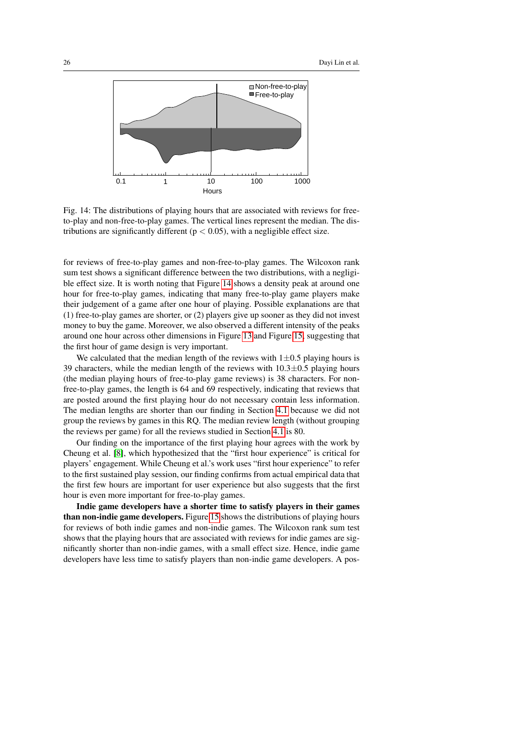<span id="page-25-0"></span>

Fig. 14: The distributions of playing hours that are associated with reviews for freeto-play and non-free-to-play games. The vertical lines represent the median. The distributions are significantly different ( $p < 0.05$ ), with a negligible effect size.

for reviews of free-to-play games and non-free-to-play games. The Wilcoxon rank sum test shows a significant difference between the two distributions, with a negligible effect size. It is worth noting that Figure [14](#page-25-0) shows a density peak at around one hour for free-to-play games, indicating that many free-to-play game players make their judgement of a game after one hour of playing. Possible explanations are that (1) free-to-play games are shorter, or (2) players give up sooner as they did not invest money to buy the game. Moreover, we also observed a different intensity of the peaks around one hour across other dimensions in Figure [13](#page-24-0) and Figure [15,](#page-26-0) suggesting that the first hour of game design is very important.

We calculated that the median length of the reviews with  $1\pm 0.5$  playing hours is 39 characters, while the median length of the reviews with  $10.3\pm0.5$  playing hours (the median playing hours of free-to-play game reviews) is 38 characters. For nonfree-to-play games, the length is 64 and 69 respectively, indicating that reviews that are posted around the first playing hour do not necessary contain less information. The median lengths are shorter than our finding in Section [4.1](#page-8-2) because we did not group the reviews by games in this RQ. The median review length (without grouping the reviews per game) for all the reviews studied in Section [4.1](#page-8-2) is 80.

Our finding on the importance of the first playing hour agrees with the work by Cheung et al. [\[8\]](#page-33-6), which hypothesized that the "first hour experience" is critical for players' engagement. While Cheung et al.'s work uses "first hour experience" to refer to the first sustained play session, our finding confirms from actual empirical data that the first few hours are important for user experience but also suggests that the first hour is even more important for free-to-play games.

Indie game developers have a shorter time to satisfy players in their games than non-indie game developers. Figure [15](#page-26-0) shows the distributions of playing hours for reviews of both indie games and non-indie games. The Wilcoxon rank sum test shows that the playing hours that are associated with reviews for indie games are significantly shorter than non-indie games, with a small effect size. Hence, indie game developers have less time to satisfy players than non-indie game developers. A pos-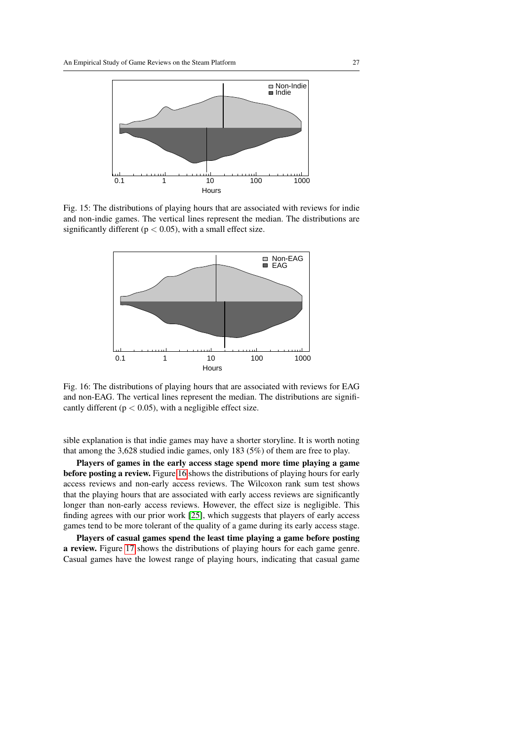<span id="page-26-0"></span>

Fig. 15: The distributions of playing hours that are associated with reviews for indie and non-indie games. The vertical lines represent the median. The distributions are significantly different ( $p < 0.05$ ), with a small effect size.

<span id="page-26-1"></span>

Fig. 16: The distributions of playing hours that are associated with reviews for EAG and non-EAG. The vertical lines represent the median. The distributions are significantly different ( $p < 0.05$ ), with a negligible effect size.

sible explanation is that indie games may have a shorter storyline. It is worth noting that among the 3,628 studied indie games, only 183 (5%) of them are free to play.

Players of games in the early access stage spend more time playing a game before posting a review. Figure [16](#page-26-1) shows the distributions of playing hours for early access reviews and non-early access reviews. The Wilcoxon rank sum test shows that the playing hours that are associated with early access reviews are significantly longer than non-early access reviews. However, the effect size is negligible. This finding agrees with our prior work [\[25\]](#page-35-4), which suggests that players of early access games tend to be more tolerant of the quality of a game during its early access stage.

Players of casual games spend the least time playing a game before posting a review. Figure [17](#page-27-0) shows the distributions of playing hours for each game genre. Casual games have the lowest range of playing hours, indicating that casual game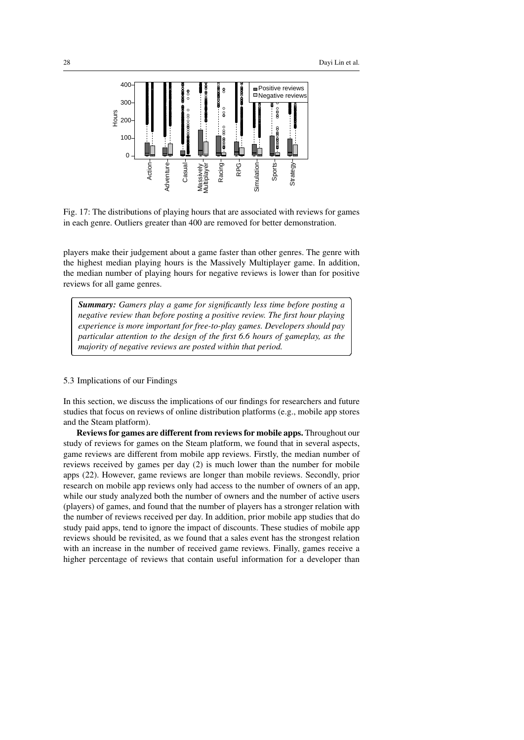<sup>1</sup>

✁

<span id="page-27-0"></span>

Fig. 17: The distributions of playing hours that are associated with reviews for games in each genre. Outliers greater than 400 are removed for better demonstration.

players make their judgement about a game faster than other genres. The genre with the highest median playing hours is the Massively Multiplayer game. In addition, the median number of playing hours for negative reviews is lower than for positive reviews for all game genres.

*Summary: Gamers play a game for significantly less time before posting a negative review than before posting a positive review. The first hour playing experience is more important for free-to-play games. Developers should pay particular attention to the design of the first 6.6 hours of gameplay, as the majority of negative reviews are posted within that period.*

# <span id="page-27-1"></span>5.3 Implications of our Findings

In this section, we discuss the implications of our findings for researchers and future studies that focus on reviews of online distribution platforms (e.g., mobile app stores and the Steam platform).

Reviews for games are different from reviews for mobile apps. Throughout our study of reviews for games on the Steam platform, we found that in several aspects, game reviews are different from mobile app reviews. Firstly, the median number of reviews received by games per day (2) is much lower than the number for mobile apps (22). However, game reviews are longer than mobile reviews. Secondly, prior research on mobile app reviews only had access to the number of owners of an app, while our study analyzed both the number of owners and the number of active users (players) of games, and found that the number of players has a stronger relation with the number of reviews received per day. In addition, prior mobile app studies that do study paid apps, tend to ignore the impact of discounts. These studies of mobile app reviews should be revisited, as we found that a sales event has the strongest relation with an increase in the number of received game reviews. Finally, games receive a higher percentage of reviews that contain useful information for a developer than

✄

 $\overline{a}$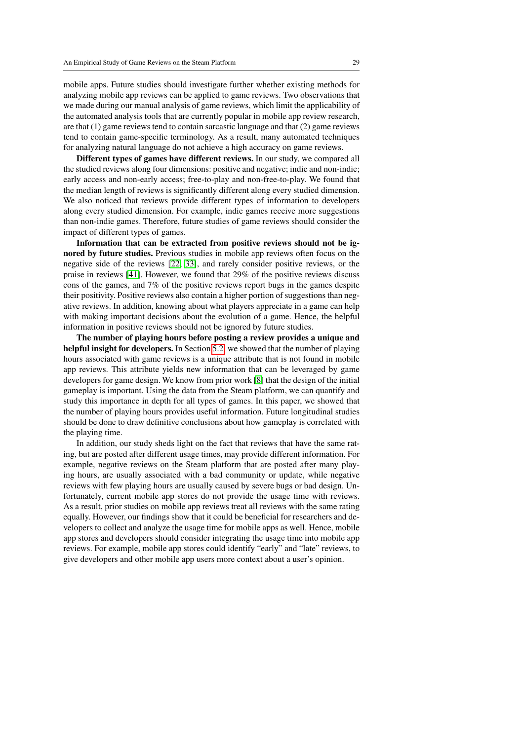mobile apps. Future studies should investigate further whether existing methods for analyzing mobile app reviews can be applied to game reviews. Two observations that we made during our manual analysis of game reviews, which limit the applicability of the automated analysis tools that are currently popular in mobile app review research, are that (1) game reviews tend to contain sarcastic language and that (2) game reviews tend to contain game-specific terminology. As a result, many automated techniques for analyzing natural language do not achieve a high accuracy on game reviews.

Different types of games have different reviews. In our study, we compared all the studied reviews along four dimensions: positive and negative; indie and non-indie; early access and non-early access; free-to-play and non-free-to-play. We found that the median length of reviews is significantly different along every studied dimension. We also noticed that reviews provide different types of information to developers along every studied dimension. For example, indie games receive more suggestions than non-indie games. Therefore, future studies of game reviews should consider the impact of different types of games.

Information that can be extracted from positive reviews should not be ignored by future studies. Previous studies in mobile app reviews often focus on the negative side of the reviews [\[22,](#page-34-2) [33\]](#page-35-10), and rarely consider positive reviews, or the praise in reviews [\[41\]](#page-36-11). However, we found that 29% of the positive reviews discuss cons of the games, and 7% of the positive reviews report bugs in the games despite their positivity. Positive reviews also contain a higher portion of suggestions than negative reviews. In addition, knowing about what players appreciate in a game can help with making important decisions about the evolution of a game. Hence, the helpful information in positive reviews should not be ignored by future studies.

The number of playing hours before posting a review provides a unique and helpful insight for developers. In Section [5.2,](#page-22-0) we showed that the number of playing hours associated with game reviews is a unique attribute that is not found in mobile app reviews. This attribute yields new information that can be leveraged by game developers for game design. We know from prior work [\[8\]](#page-33-6) that the design of the initial gameplay is important. Using the data from the Steam platform, we can quantify and study this importance in depth for all types of games. In this paper, we showed that the number of playing hours provides useful information. Future longitudinal studies should be done to draw definitive conclusions about how gameplay is correlated with the playing time.

In addition, our study sheds light on the fact that reviews that have the same rating, but are posted after different usage times, may provide different information. For example, negative reviews on the Steam platform that are posted after many playing hours, are usually associated with a bad community or update, while negative reviews with few playing hours are usually caused by severe bugs or bad design. Unfortunately, current mobile app stores do not provide the usage time with reviews. As a result, prior studies on mobile app reviews treat all reviews with the same rating equally. However, our findings show that it could be beneficial for researchers and developers to collect and analyze the usage time for mobile apps as well. Hence, mobile app stores and developers should consider integrating the usage time into mobile app reviews. For example, mobile app stores could identify "early" and "late" reviews, to give developers and other mobile app users more context about a user's opinion.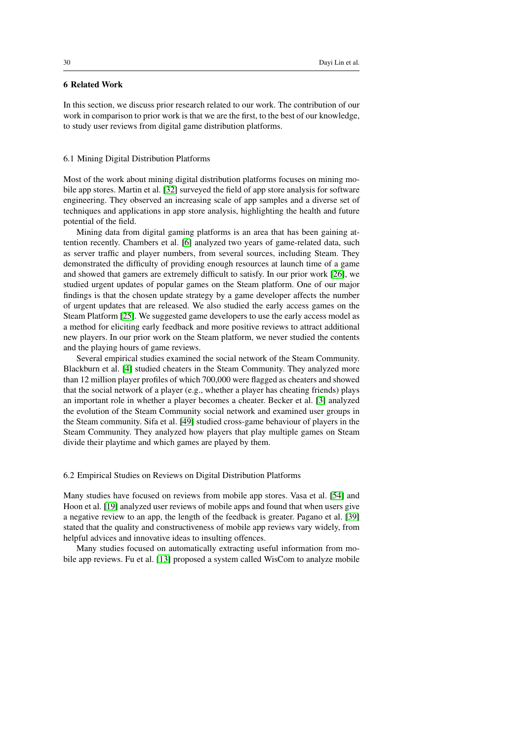# <span id="page-29-0"></span>6 Related Work

In this section, we discuss prior research related to our work. The contribution of our work in comparison to prior work is that we are the first, to the best of our knowledge, to study user reviews from digital game distribution platforms.

### 6.1 Mining Digital Distribution Platforms

Most of the work about mining digital distribution platforms focuses on mining mobile app stores. Martin et al. [\[32\]](#page-35-11) surveyed the field of app store analysis for software engineering. They observed an increasing scale of app samples and a diverse set of techniques and applications in app store analysis, highlighting the health and future potential of the field.

Mining data from digital gaming platforms is an area that has been gaining attention recently. Chambers et al. [\[6\]](#page-33-0) analyzed two years of game-related data, such as server traffic and player numbers, from several sources, including Steam. They demonstrated the difficulty of providing enough resources at launch time of a game and showed that gamers are extremely difficult to satisfy. In our prior work [\[26\]](#page-35-0), we studied urgent updates of popular games on the Steam platform. One of our major findings is that the chosen update strategy by a game developer affects the number of urgent updates that are released. We also studied the early access games on the Steam Platform [\[25\]](#page-35-4). We suggested game developers to use the early access model as a method for eliciting early feedback and more positive reviews to attract additional new players. In our prior work on the Steam platform, we never studied the contents and the playing hours of game reviews.

Several empirical studies examined the social network of the Steam Community. Blackburn et al. [\[4\]](#page-33-7) studied cheaters in the Steam Community. They analyzed more than 12 million player profiles of which 700,000 were flagged as cheaters and showed that the social network of a player (e.g., whether a player has cheating friends) plays an important role in whether a player becomes a cheater. Becker et al. [\[3\]](#page-33-8) analyzed the evolution of the Steam Community social network and examined user groups in the Steam community. Sifa et al. [\[49\]](#page-36-12) studied cross-game behaviour of players in the Steam Community. They analyzed how players that play multiple games on Steam divide their playtime and which games are played by them.

## 6.2 Empirical Studies on Reviews on Digital Distribution Platforms

Many studies have focused on reviews from mobile app stores. Vasa et al. [\[54\]](#page-36-2) and Hoon et al. [\[19\]](#page-34-1) analyzed user reviews of mobile apps and found that when users give a negative review to an app, the length of the feedback is greater. Pagano et al. [\[39\]](#page-35-1) stated that the quality and constructiveness of mobile app reviews vary widely, from helpful advices and innovative ideas to insulting offences.

Many studies focused on automatically extracting useful information from mobile app reviews. Fu et al. [\[13\]](#page-34-8) proposed a system called WisCom to analyze mobile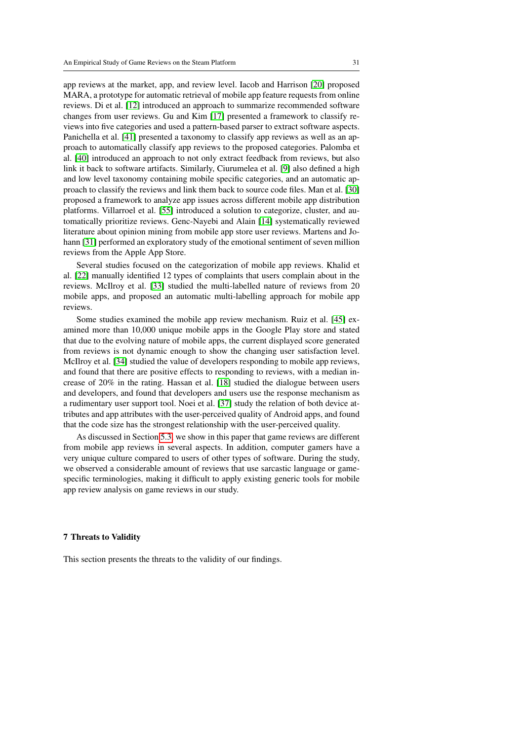app reviews at the market, app, and review level. Iacob and Harrison [\[20\]](#page-34-11) proposed MARA, a prototype for automatic retrieval of mobile app feature requests from online reviews. Di et al. [\[12\]](#page-34-10) introduced an approach to summarize recommended software changes from user reviews. Gu and Kim [\[17\]](#page-34-9) presented a framework to classify reviews into five categories and used a pattern-based parser to extract software aspects. Panichella et al. [\[41\]](#page-36-11) presented a taxonomy to classify app reviews as well as an approach to automatically classify app reviews to the proposed categories. Palomba et al. [\[40\]](#page-35-12) introduced an approach to not only extract feedback from reviews, but also link it back to software artifacts. Similarly, Ciurumelea et al. [\[9\]](#page-33-4) also defined a high and low level taxonomy containing mobile specific categories, and an automatic approach to classify the reviews and link them back to source code files. Man et al. [\[30\]](#page-35-13) proposed a framework to analyze app issues across different mobile app distribution platforms. Villarroel et al. [\[55\]](#page-36-13) introduced a solution to categorize, cluster, and automatically prioritize reviews. Genc-Nayebi and Alain [\[14\]](#page-34-12) systematically reviewed literature about opinion mining from mobile app store user reviews. Martens and Jo-hann [\[31\]](#page-35-14) performed an exploratory study of the emotional sentiment of seven million reviews from the Apple App Store.

Several studies focused on the categorization of mobile app reviews. Khalid et al. [\[22\]](#page-34-2) manually identified 12 types of complaints that users complain about in the reviews. McIlroy et al. [\[33\]](#page-35-10) studied the multi-labelled nature of reviews from 20 mobile apps, and proposed an automatic multi-labelling approach for mobile app reviews.

Some studies examined the mobile app review mechanism. Ruiz et al. [\[45\]](#page-36-14) examined more than 10,000 unique mobile apps in the Google Play store and stated that due to the evolving nature of mobile apps, the current displayed score generated from reviews is not dynamic enough to show the changing user satisfaction level. McIlroy et al. [\[34\]](#page-35-5) studied the value of developers responding to mobile app reviews, and found that there are positive effects to responding to reviews, with a median increase of 20% in the rating. Hassan et al. [\[18\]](#page-34-13) studied the dialogue between users and developers, and found that developers and users use the response mechanism as a rudimentary user support tool. Noei et al. [\[37\]](#page-35-15) study the relation of both device attributes and app attributes with the user-perceived quality of Android apps, and found that the code size has the strongest relationship with the user-perceived quality.

As discussed in Section [5.3,](#page-27-1) we show in this paper that game reviews are different from mobile app reviews in several aspects. In addition, computer gamers have a very unique culture compared to users of other types of software. During the study, we observed a considerable amount of reviews that use sarcastic language or gamespecific terminologies, making it difficult to apply existing generic tools for mobile app review analysis on game reviews in our study.

#### <span id="page-30-0"></span>7 Threats to Validity

This section presents the threats to the validity of our findings.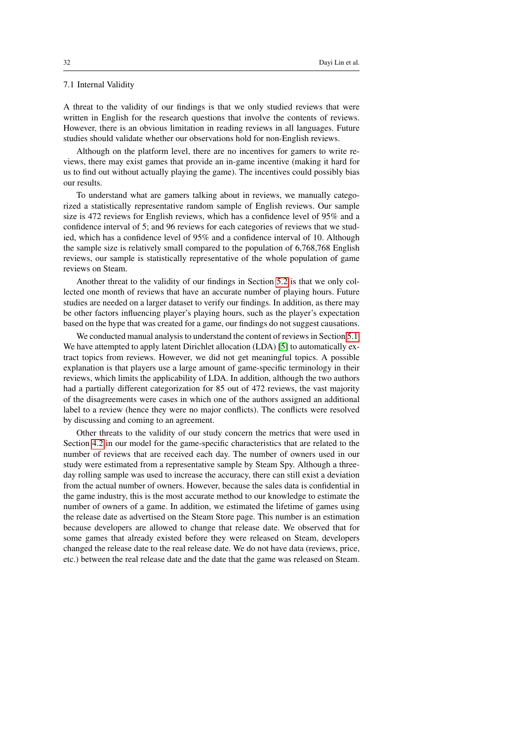# 7.1 Internal Validity

A threat to the validity of our findings is that we only studied reviews that were written in English for the research questions that involve the contents of reviews. However, there is an obvious limitation in reading reviews in all languages. Future studies should validate whether our observations hold for non-English reviews.

Although on the platform level, there are no incentives for gamers to write reviews, there may exist games that provide an in-game incentive (making it hard for us to find out without actually playing the game). The incentives could possibly bias our results.

To understand what are gamers talking about in reviews, we manually categorized a statistically representative random sample of English reviews. Our sample size is 472 reviews for English reviews, which has a confidence level of 95% and a confidence interval of 5; and 96 reviews for each categories of reviews that we studied, which has a confidence level of 95% and a confidence interval of 10. Although the sample size is relatively small compared to the population of 6,768,768 English reviews, our sample is statistically representative of the whole population of game reviews on Steam.

Another threat to the validity of our findings in Section [5.2](#page-22-0) is that we only collected one month of reviews that have an accurate number of playing hours. Future studies are needed on a larger dataset to verify our findings. In addition, as there may be other factors influencing player's playing hours, such as the player's expectation based on the hype that was created for a game, our findings do not suggest causations.

We conducted manual analysis to understand the content of reviews in Section [5.1.](#page-18-1) We have attempted to apply latent Dirichlet allocation (LDA) [\[5\]](#page-33-9) to automatically extract topics from reviews. However, we did not get meaningful topics. A possible explanation is that players use a large amount of game-specific terminology in their reviews, which limits the applicability of LDA. In addition, although the two authors had a partially different categorization for 85 out of 472 reviews, the vast majority of the disagreements were cases in which one of the authors assigned an additional label to a review (hence they were no major conflicts). The conflicts were resolved by discussing and coming to an agreement.

Other threats to the validity of our study concern the metrics that were used in Section [4.2](#page-15-0) in our model for the game-specific characteristics that are related to the number of reviews that are received each day. The number of owners used in our study were estimated from a representative sample by Steam Spy. Although a threeday rolling sample was used to increase the accuracy, there can still exist a deviation from the actual number of owners. However, because the sales data is confidential in the game industry, this is the most accurate method to our knowledge to estimate the number of owners of a game. In addition, we estimated the lifetime of games using the release date as advertised on the Steam Store page. This number is an estimation because developers are allowed to change that release date. We observed that for some games that already existed before they were released on Steam, developers changed the release date to the real release date. We do not have data (reviews, price, etc.) between the real release date and the date that the game was released on Steam.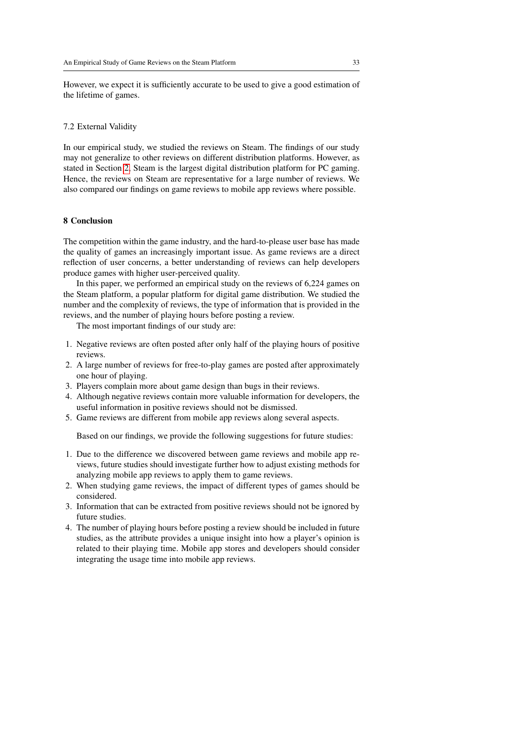However, we expect it is sufficiently accurate to be used to give a good estimation of the lifetime of games.

#### 7.2 External Validity

In our empirical study, we studied the reviews on Steam. The findings of our study may not generalize to other reviews on different distribution platforms. However, as stated in Section [2,](#page-2-0) Steam is the largest digital distribution platform for PC gaming. Hence, the reviews on Steam are representative for a large number of reviews. We also compared our findings on game reviews to mobile app reviews where possible.

# <span id="page-32-0"></span>8 Conclusion

The competition within the game industry, and the hard-to-please user base has made the quality of games an increasingly important issue. As game reviews are a direct reflection of user concerns, a better understanding of reviews can help developers produce games with higher user-perceived quality.

In this paper, we performed an empirical study on the reviews of 6,224 games on the Steam platform, a popular platform for digital game distribution. We studied the number and the complexity of reviews, the type of information that is provided in the reviews, and the number of playing hours before posting a review.

The most important findings of our study are:

- 1. Negative reviews are often posted after only half of the playing hours of positive reviews.
- 2. A large number of reviews for free-to-play games are posted after approximately one hour of playing.
- 3. Players complain more about game design than bugs in their reviews.
- 4. Although negative reviews contain more valuable information for developers, the useful information in positive reviews should not be dismissed.
- 5. Game reviews are different from mobile app reviews along several aspects.

Based on our findings, we provide the following suggestions for future studies:

- 1. Due to the difference we discovered between game reviews and mobile app reviews, future studies should investigate further how to adjust existing methods for analyzing mobile app reviews to apply them to game reviews.
- 2. When studying game reviews, the impact of different types of games should be considered.
- 3. Information that can be extracted from positive reviews should not be ignored by future studies.
- 4. The number of playing hours before posting a review should be included in future studies, as the attribute provides a unique insight into how a player's opinion is related to their playing time. Mobile app stores and developers should consider integrating the usage time into mobile app reviews.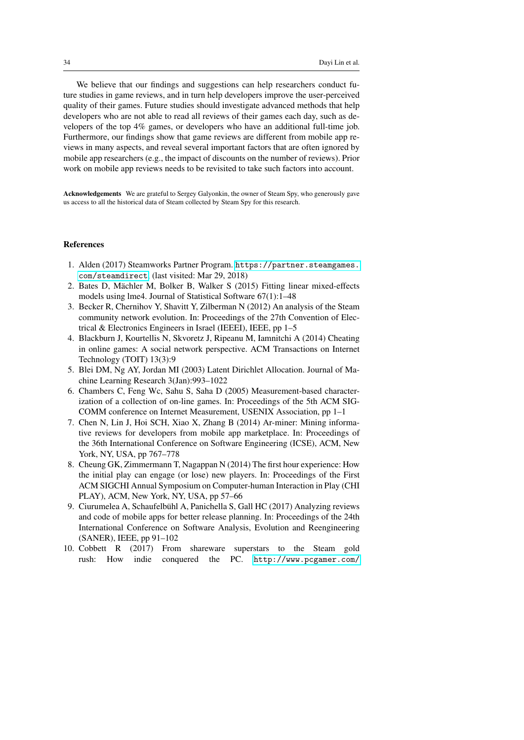We believe that our findings and suggestions can help researchers conduct future studies in game reviews, and in turn help developers improve the user-perceived quality of their games. Future studies should investigate advanced methods that help developers who are not able to read all reviews of their games each day, such as developers of the top 4% games, or developers who have an additional full-time job. Furthermore, our findings show that game reviews are different from mobile app reviews in many aspects, and reveal several important factors that are often ignored by mobile app researchers (e.g., the impact of discounts on the number of reviews). Prior work on mobile app reviews needs to be revisited to take such factors into account.

Acknowledgements We are grateful to Sergey Galyonkin, the owner of Steam Spy, who generously gave us access to all the historical data of Steam collected by Steam Spy for this research.

### References

- <span id="page-33-1"></span>1. Alden (2017) Steamworks Partner Program. [https://partner.steamgames.](https://partner.steamgames.com/steamdirect) [com/steamdirect](https://partner.steamgames.com/steamdirect), (last visited: Mar 29, 2018)
- <span id="page-33-3"></span>2. Bates D, Mächler M, Bolker B, Walker S (2015) Fitting linear mixed-effects models using lme4. Journal of Statistical Software 67(1):1–48
- <span id="page-33-8"></span>3. Becker R, Chernihov Y, Shavitt Y, Zilberman N (2012) An analysis of the Steam community network evolution. In: Proceedings of the 27th Convention of Electrical & Electronics Engineers in Israel (IEEEI), IEEE, pp 1–5
- <span id="page-33-7"></span>4. Blackburn J, Kourtellis N, Skvoretz J, Ripeanu M, Iamnitchi A (2014) Cheating in online games: A social network perspective. ACM Transactions on Internet Technology (TOIT) 13(3):9
- <span id="page-33-9"></span>5. Blei DM, Ng AY, Jordan MI (2003) Latent Dirichlet Allocation. Journal of Machine Learning Research 3(Jan):993–1022
- <span id="page-33-0"></span>6. Chambers C, Feng Wc, Sahu S, Saha D (2005) Measurement-based characterization of a collection of on-line games. In: Proceedings of the 5th ACM SIG-COMM conference on Internet Measurement, USENIX Association, pp 1–1
- <span id="page-33-5"></span>7. Chen N, Lin J, Hoi SCH, Xiao X, Zhang B (2014) Ar-miner: Mining informative reviews for developers from mobile app marketplace. In: Proceedings of the 36th International Conference on Software Engineering (ICSE), ACM, New York, NY, USA, pp 767–778
- <span id="page-33-6"></span>8. Cheung GK, Zimmermann T, Nagappan N (2014) The first hour experience: How the initial play can engage (or lose) new players. In: Proceedings of the First ACM SIGCHI Annual Symposium on Computer-human Interaction in Play (CHI PLAY), ACM, New York, NY, USA, pp 57–66
- <span id="page-33-4"></span>9. Ciurumelea A, Schaufelbühl A, Panichella S, Gall HC (2017) Analyzing reviews and code of mobile apps for better release planning. In: Proceedings of the 24th International Conference on Software Analysis, Evolution and Reengineering (SANER), IEEE, pp 91–102
- <span id="page-33-2"></span>10. Cobbett R (2017) From shareware superstars to the Steam gold rush: How indie conquered the PC. [http://www.pcgamer.com/](http://www.pcgamer.com/from-shareware-superstars-to-the-steam-gold-rush-how-indie-conquered-the-pc/)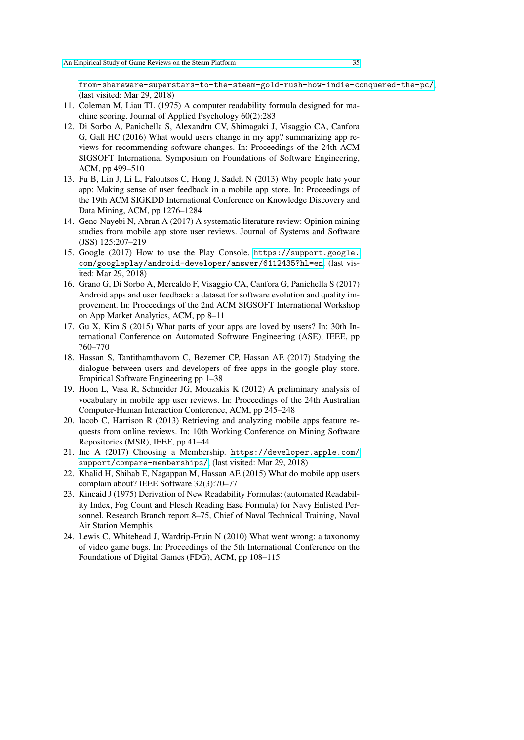[from-shareware-superstars-to-the-steam-gold-rush-how-indie-conquered-the-pc/](http://www.pcgamer.com/from-shareware-superstars-to-the-steam-gold-rush-how-indie-conquered-the-pc/), (last visited: Mar 29, 2018)

- <span id="page-34-5"></span>11. Coleman M, Liau TL (1975) A computer readability formula designed for machine scoring. Journal of Applied Psychology 60(2):283
- <span id="page-34-10"></span>12. Di Sorbo A, Panichella S, Alexandru CV, Shimagaki J, Visaggio CA, Canfora G, Gall HC (2016) What would users change in my app? summarizing app reviews for recommending software changes. In: Proceedings of the 24th ACM SIGSOFT International Symposium on Foundations of Software Engineering, ACM, pp 499–510
- <span id="page-34-8"></span>13. Fu B, Lin J, Li L, Faloutsos C, Hong J, Sadeh N (2013) Why people hate your app: Making sense of user feedback in a mobile app store. In: Proceedings of the 19th ACM SIGKDD International Conference on Knowledge Discovery and Data Mining, ACM, pp 1276–1284
- <span id="page-34-12"></span>14. Genc-Nayebi N, Abran A (2017) A systematic literature review: Opinion mining studies from mobile app store user reviews. Journal of Systems and Software (JSS) 125:207–219
- <span id="page-34-4"></span>15. Google (2017) How to use the Play Console. [https://support.google.](https://support.google.com/googleplay/android-developer/answer/6112435?hl=en) [com/googleplay/android-developer/answer/6112435?hl=en](https://support.google.com/googleplay/android-developer/answer/6112435?hl=en), (last visited: Mar 29, 2018)
- <span id="page-34-7"></span>16. Grano G, Di Sorbo A, Mercaldo F, Visaggio CA, Canfora G, Panichella S (2017) Android apps and user feedback: a dataset for software evolution and quality improvement. In: Proceedings of the 2nd ACM SIGSOFT International Workshop on App Market Analytics, ACM, pp 8–11
- <span id="page-34-9"></span>17. Gu X, Kim S (2015) What parts of your apps are loved by users? In: 30th International Conference on Automated Software Engineering (ASE), IEEE, pp 760–770
- <span id="page-34-13"></span>18. Hassan S, Tantithamthavorn C, Bezemer CP, Hassan AE (2017) Studying the dialogue between users and developers of free apps in the google play store. Empirical Software Engineering pp 1–38
- <span id="page-34-1"></span>19. Hoon L, Vasa R, Schneider JG, Mouzakis K (2012) A preliminary analysis of vocabulary in mobile app user reviews. In: Proceedings of the 24th Australian Computer-Human Interaction Conference, ACM, pp 245–248
- <span id="page-34-11"></span>20. Iacob C, Harrison R (2013) Retrieving and analyzing mobile apps feature requests from online reviews. In: 10th Working Conference on Mining Software Repositories (MSR), IEEE, pp 41–44
- <span id="page-34-3"></span>21. Inc A (2017) Choosing a Membership. [https://developer.apple.com/](https://developer.apple.com/support/compare-memberships/) [support/compare-memberships/](https://developer.apple.com/support/compare-memberships/), (last visited: Mar 29, 2018)
- <span id="page-34-2"></span>22. Khalid H, Shihab E, Nagappan M, Hassan AE (2015) What do mobile app users complain about? IEEE Software 32(3):70–77
- <span id="page-34-6"></span>23. Kincaid J (1975) Derivation of New Readability Formulas: (automated Readability Index, Fog Count and Flesch Reading Ease Formula) for Navy Enlisted Personnel. Research Branch report 8–75, Chief of Naval Technical Training, Naval Air Station Memphis
- <span id="page-34-0"></span>24. Lewis C, Whitehead J, Wardrip-Fruin N (2010) What went wrong: a taxonomy of video game bugs. In: Proceedings of the 5th International Conference on the Foundations of Digital Games (FDG), ACM, pp 108–115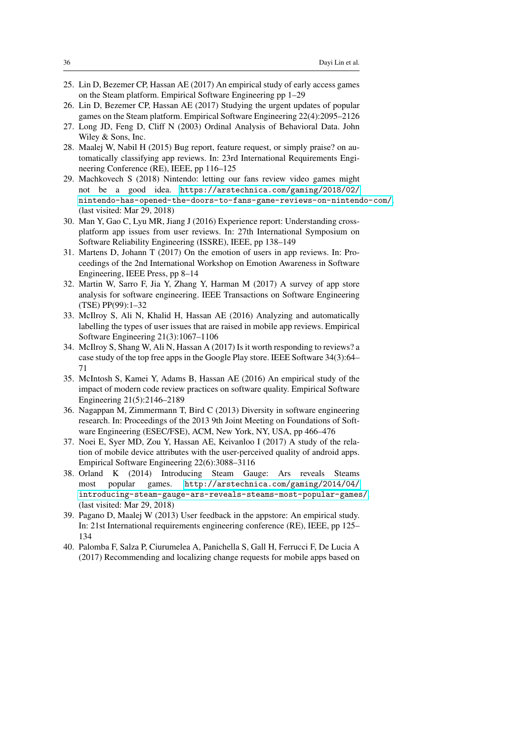- <span id="page-35-4"></span>25. Lin D, Bezemer CP, Hassan AE (2017) An empirical study of early access games on the Steam platform. Empirical Software Engineering pp 1–29
- <span id="page-35-0"></span>26. Lin D, Bezemer CP, Hassan AE (2017) Studying the urgent updates of popular games on the Steam platform. Empirical Software Engineering 22(4):2095–2126
- <span id="page-35-6"></span>27. Long JD, Feng D, Cliff N (2003) Ordinal Analysis of Behavioral Data. John Wiley & Sons, Inc.
- <span id="page-35-8"></span>28. Maalej W, Nabil H (2015) Bug report, feature request, or simply praise? on automatically classifying app reviews. In: 23rd International Requirements Engineering Conference (RE), IEEE, pp 116–125
- <span id="page-35-9"></span>29. Machkovech S (2018) Nintendo: letting our fans review video games might not be a good idea. [https://arstechnica.com/gaming/2018/02/](https://arstechnica.com/gaming/2018/02/nintendo-has-opened-the-doors-to-fans-game-reviews-on-nintendo-com/) [nintendo-has-opened-the-doors-to-fans-game-reviews-on-nintendo-com/](https://arstechnica.com/gaming/2018/02/nintendo-has-opened-the-doors-to-fans-game-reviews-on-nintendo-com/), (last visited: Mar 29, 2018)
- <span id="page-35-13"></span>30. Man Y, Gao C, Lyu MR, Jiang J (2016) Experience report: Understanding crossplatform app issues from user reviews. In: 27th International Symposium on Software Reliability Engineering (ISSRE), IEEE, pp 138–149
- <span id="page-35-14"></span>31. Martens D, Johann T (2017) On the emotion of users in app reviews. In: Proceedings of the 2nd International Workshop on Emotion Awareness in Software Engineering, IEEE Press, pp 8–14
- <span id="page-35-11"></span>32. Martin W, Sarro F, Jia Y, Zhang Y, Harman M (2017) A survey of app store analysis for software engineering. IEEE Transactions on Software Engineering (TSE) PP(99):1–32
- <span id="page-35-10"></span>33. McIlroy S, Ali N, Khalid H, Hassan AE (2016) Analyzing and automatically labelling the types of user issues that are raised in mobile app reviews. Empirical Software Engineering 21(3):1067–1106
- <span id="page-35-5"></span>34. McIlroy S, Shang W, Ali N, Hassan A (2017) Is it worth responding to reviews? a case study of the top free apps in the Google Play store. IEEE Software 34(3):64– 71
- <span id="page-35-7"></span>35. McIntosh S, Kamei Y, Adams B, Hassan AE (2016) An empirical study of the impact of modern code review practices on software quality. Empirical Software Engineering 21(5):2146–2189
- <span id="page-35-2"></span>36. Nagappan M, Zimmermann T, Bird C (2013) Diversity in software engineering research. In: Proceedings of the 2013 9th Joint Meeting on Foundations of Software Engineering (ESEC/FSE), ACM, New York, NY, USA, pp 466–476
- <span id="page-35-15"></span>37. Noei E, Syer MD, Zou Y, Hassan AE, Keivanloo I (2017) A study of the relation of mobile device attributes with the user-perceived quality of android apps. Empirical Software Engineering 22(6):3088–3116
- <span id="page-35-3"></span>38. Orland K (2014) Introducing Steam Gauge: Ars reveals Steams most popular games. [http://arstechnica.com/gaming/2014/04/](http://arstechnica.com/gaming/2014/04/introducing-steam-gauge-ars-reveals-steams-most-popular-games/) [introducing-steam-gauge-ars-reveals-steams-most-popular-games/](http://arstechnica.com/gaming/2014/04/introducing-steam-gauge-ars-reveals-steams-most-popular-games/), (last visited: Mar 29, 2018)
- <span id="page-35-1"></span>39. Pagano D, Maalej W (2013) User feedback in the appstore: An empirical study. In: 21st International requirements engineering conference (RE), IEEE, pp 125– 134
- <span id="page-35-12"></span>40. Palomba F, Salza P, Ciurumelea A, Panichella S, Gall H, Ferrucci F, De Lucia A (2017) Recommending and localizing change requests for mobile apps based on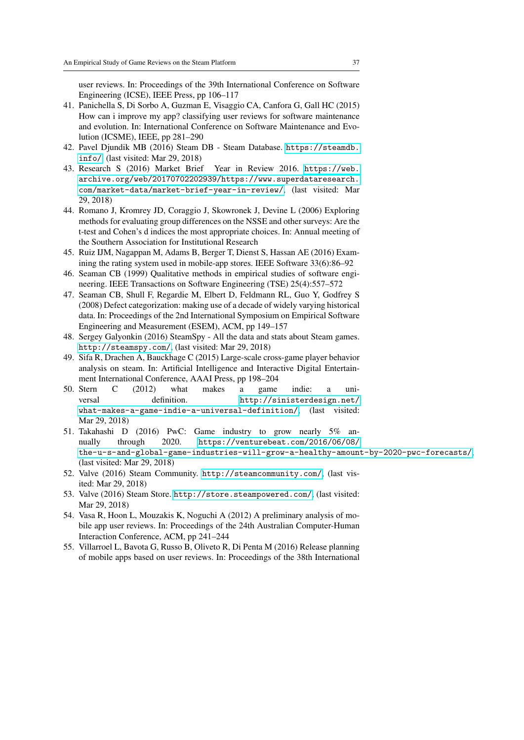user reviews. In: Proceedings of the 39th International Conference on Software Engineering (ICSE), IEEE Press, pp 106–117

- <span id="page-36-11"></span>41. Panichella S, Di Sorbo A, Guzman E, Visaggio CA, Canfora G, Gall HC (2015) How can i improve my app? classifying user reviews for software maintenance and evolution. In: International Conference on Software Maintenance and Evolution (ICSME), IEEE, pp 281–290
- <span id="page-36-6"></span>42. Pavel Djundik MB (2016) Steam DB - Steam Database. [https://steamdb.](https://steamdb.info/) [info/](https://steamdb.info/), (last visited: Mar 29, 2018)
- <span id="page-36-0"></span>43. Research S (2016) Market Brief Year in Review 2016. [https://web.](https://web.archive.org/web/20170702202939/https://www.superdataresearch.com/market-data/market-brief-year-in-review/) [archive.org/web/20170702202939/https://www.superdataresearch.](https://web.archive.org/web/20170702202939/https://www.superdataresearch.com/market-data/market-brief-year-in-review/) [com/market-data/market-brief-year-in-review/](https://web.archive.org/web/20170702202939/https://www.superdataresearch.com/market-data/market-brief-year-in-review/), (last visited: Mar 29, 2018)
- <span id="page-36-8"></span>44. Romano J, Kromrey JD, Coraggio J, Skowronek J, Devine L (2006) Exploring methods for evaluating group differences on the NSSE and other surveys: Are the t-test and Cohen's d indices the most appropriate choices. In: Annual meeting of the Southern Association for Institutional Research
- <span id="page-36-14"></span>45. Ruiz IJM, Nagappan M, Adams B, Berger T, Dienst S, Hassan AE (2016) Examining the rating system used in mobile-app stores. IEEE Software 33(6):86–92
- <span id="page-36-9"></span>46. Seaman CB (1999) Qualitative methods in empirical studies of software engineering. IEEE Transactions on Software Engineering (TSE) 25(4):557–572
- <span id="page-36-10"></span>47. Seaman CB, Shull F, Regardie M, Elbert D, Feldmann RL, Guo Y, Godfrey S (2008) Defect categorization: making use of a decade of widely varying historical data. In: Proceedings of the 2nd International Symposium on Empirical Software Engineering and Measurement (ESEM), ACM, pp 149–157
- <span id="page-36-3"></span>48. Sergey Galyonkin (2016) SteamSpy - All the data and stats about Steam games. <http://steamspy.com/>, (last visited: Mar 29, 2018)
- <span id="page-36-12"></span>49. Sifa R, Drachen A, Bauckhage C (2015) Large-scale cross-game player behavior analysis on steam. In: Artificial Intelligence and Interactive Digital Entertainment International Conference, AAAI Press, pp 198–204
- <span id="page-36-7"></span>50. Stern C (2012) what makes a game indie: a universal definition. [http://sinisterdesign.net/](http://sinisterdesign.net/what-makes-a-game-indie-a-universal-definition/) [what-makes-a-game-indie-a-universal-definition/](http://sinisterdesign.net/what-makes-a-game-indie-a-universal-definition/), (last visited: Mar 29, 2018)
- <span id="page-36-1"></span>51. Takahashi D (2016) PwC: Game industry to grow nearly 5% annually through 2020. [https://venturebeat.com/2016/06/08/](https://venturebeat.com/2016/06/08/the-u-s-and-global-game-industries-will-grow-a-healthy-amount-by-2020-pwc-forecasts/) [the-u-s-and-global-game-industries-will-grow-a-healthy-amount-by-2020-pwc-forecasts/](https://venturebeat.com/2016/06/08/the-u-s-and-global-game-industries-will-grow-a-healthy-amount-by-2020-pwc-forecasts/), (last visited: Mar 29, 2018)
- <span id="page-36-5"></span>52. Valve (2016) Steam Community. <http://steamcommunity.com/>, (last visited: Mar 29, 2018)
- <span id="page-36-4"></span>53. Valve (2016) Steam Store. <http://store.steampowered.com/>, (last visited: Mar 29, 2018)
- <span id="page-36-2"></span>54. Vasa R, Hoon L, Mouzakis K, Noguchi A (2012) A preliminary analysis of mobile app user reviews. In: Proceedings of the 24th Australian Computer-Human Interaction Conference, ACM, pp 241–244
- <span id="page-36-13"></span>55. Villarroel L, Bavota G, Russo B, Oliveto R, Di Penta M (2016) Release planning of mobile apps based on user reviews. In: Proceedings of the 38th International